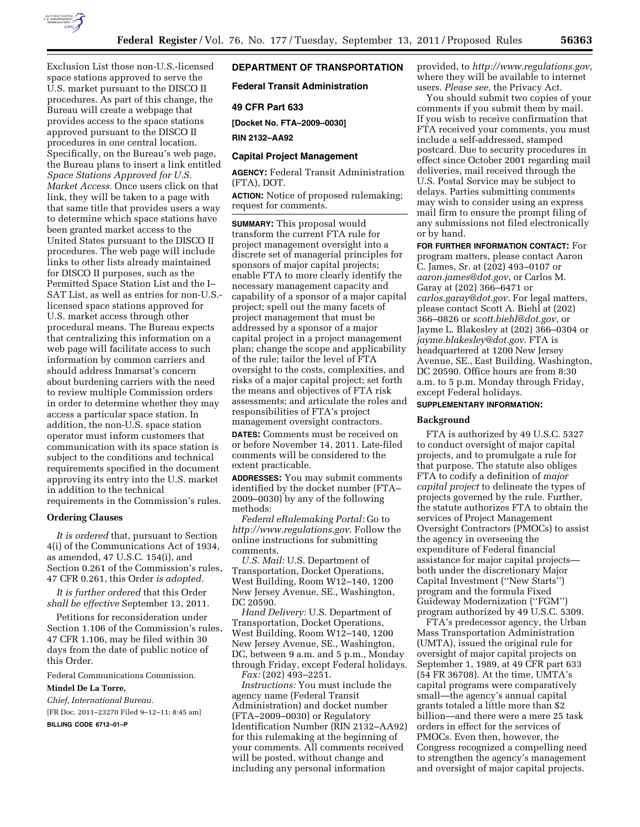

Exclusion List those non-U.S.-licensed space stations approved to serve the U.S. market pursuant to the DISCO II procedures. As part of this change, the Bureau will create a webpage that provides access to the space stations approved pursuant to the DISCO II procedures in one central location. Specifically, on the Bureau's web page, the Bureau plans to insert a link entitled *Space Stations Approved for U.S. Market Access.* Once users click on that link, they will be taken to a page with that same title that provides users a way to determine which space stations have been granted market access to the United States pursuant to the DISCO II procedures. The web page will include links to other lists already maintained for DISCO II purposes, such as the Permitted Space Station List and the I– SAT List, as well as entries for non-U.S. licensed space stations approved for U.S. market access through other procedural means. The Bureau expects that centralizing this information on a web page will facilitate access to such information by common carriers and should address Inmarsat's concern about burdening carriers with the need to review multiple Commission orders in order to determine whether they may access a particular space station. In addition, the non-U.S. space station operator must inform customers that communication with its space station is subject to the conditions and technical requirements specified in the document approving its entry into the U.S. market in addition to the technical requirements in the Commission's rules.

### **Ordering Clauses**

*It is ordered* that, pursuant to Section 4(i) of the Communications Act of 1934, as amended, 47 U.S.C. 154(i), and Section 0.261 of the Commission's rules, 47 CFR 0.261, this Order *is adopted.* 

*It is further ordered* that this Order *shall be effective* September 13, 2011.

Petitions for reconsideration under Section 1.106 of the Commission's rules, 47 CFR 1.106, may be filed within 30 days from the date of public notice of this Order.

Federal Communications Commission.

**Mindel De La Torre,** 

*Chief, International Bureau.*  [FR Doc. 2011–23270 Filed 9–12–11; 8:45 am]

**BILLING CODE 6712–01–P** 

# **DEPARTMENT OF TRANSPORTATION**

**Federal Transit Administration** 

### **49 CFR Part 633**

**[Docket No. FTA–2009–0030]** 

**RIN 2132–AA92** 

## **Capital Project Management**

**AGENCY:** Federal Transit Administration (FTA), DOT.

**ACTION:** Notice of proposed rulemaking; request for comments.

**SUMMARY:** This proposal would transform the current FTA rule for project management oversight into a discrete set of managerial principles for sponsors of major capital projects; enable FTA to more clearly identify the necessary management capacity and capability of a sponsor of a major capital project; spell out the many facets of project management that must be addressed by a sponsor of a major capital project in a project management plan; change the scope and applicability of the rule; tailor the level of FTA oversight to the costs, complexities, and risks of a major capital project; set forth the means and objectives of FTA risk assessments; and articulate the roles and responsibilities of FTA's project management oversight contractors.

**DATES:** Comments must be received on or before November 14, 2011. Late-filed comments will be considered to the extent practicable.

**ADDRESSES:** You may submit comments identified by the docket number (FTA– 2009–0030) by any of the following methods:

*Federal eRulemaking Portal:* Go to *<http://www.regulations.gov>*. Follow the online instructions for submitting comments.

*U.S. Mail:* U.S. Department of Transportation, Docket Operations, West Building, Room W12–140, 1200 New Jersey Avenue, SE., Washington, DC 20590.

*Hand Delivery:* U.S. Department of Transportation, Docket Operations, West Building, Room W12–140, 1200 New Jersey Avenue, SE., Washington, DC, between 9 a.m. and 5 p.m., Monday through Friday, except Federal holidays. *Fax:* (202) 493–2251.

*Instructions:* You must include the agency name (Federal Transit Administration) and docket number (FTA–2009–0030) or Regulatory Identification Number (RIN 2132–AA92) for this rulemaking at the beginning of your comments. All comments received will be posted, without change and including any personal information

users. *Please see,* the Privacy Act. You should submit two copies of your comments if you submit them by mail. If you wish to receive confirmation that FTA received your comments, you must include a self-addressed, stamped postcard. Due to security procedures in effect since October 2001 regarding mail deliveries, mail received through the U.S. Postal Service may be subject to delays. Parties submitting comments may wish to consider using an express mail firm to ensure the prompt filing of any submissions not filed electronically or by hand.

**FOR FURTHER INFORMATION CONTACT:** For program matters, please contact Aaron C. James, Sr. at (202) 493–0107 or *[aaron.james@dot.gov](mailto:aaron.james@dot.gov)*, or Carlos M. Garay at (202) 366–6471 or *[carlos.garay@dot.gov.](mailto:carlos.garay@dot.gov)* For legal matters, please contact Scott A. Biehl at (202) 366–0826 or *[scott.biehl@dot.gov](mailto:scott.biehl@dot.gov)*, or Jayme L. Blakesley at (202) 366–0304 or *[jayme.blakesley@dot.gov](mailto:jayme.blakesley@dot.gov)*. FTA is headquartered at 1200 New Jersey Avenue, SE., East Building, Washington, DC 20590. Office hours are from 8:30 a.m. to 5 p.m. Monday through Friday, except Federal holidays.

# **SUPPLEMENTARY INFORMATION:**

#### **Background**

FTA is authorized by 49 U.S.C. 5327 to conduct oversight of major capital projects, and to promulgate a rule for that purpose. The statute also obliges FTA to codify a definition of *major capital project* to delineate the types of projects governed by the rule. Further, the statute authorizes FTA to obtain the services of Project Management Oversight Contractors (PMOCs) to assist the agency in overseeing the expenditure of Federal financial assistance for major capital projects both under the discretionary Major Capital Investment (''New Starts'') program and the formula Fixed Guideway Modernization (''FGM'') program authorized by 49 U.S.C. 5309.

FTA's predecessor agency, the Urban Mass Transportation Administration (UMTA), issued the original rule for oversight of major capital projects on September 1, 1989, at 49 CFR part 633 (54 FR 36708). At the time, UMTA's capital programs were comparatively small—the agency's annual capital grants totaled a little more than \$2 billion—and there were a mere 25 task orders in effect for the services of PMOCs. Even then, however, the Congress recognized a compelling need to strengthen the agency's management and oversight of major capital projects.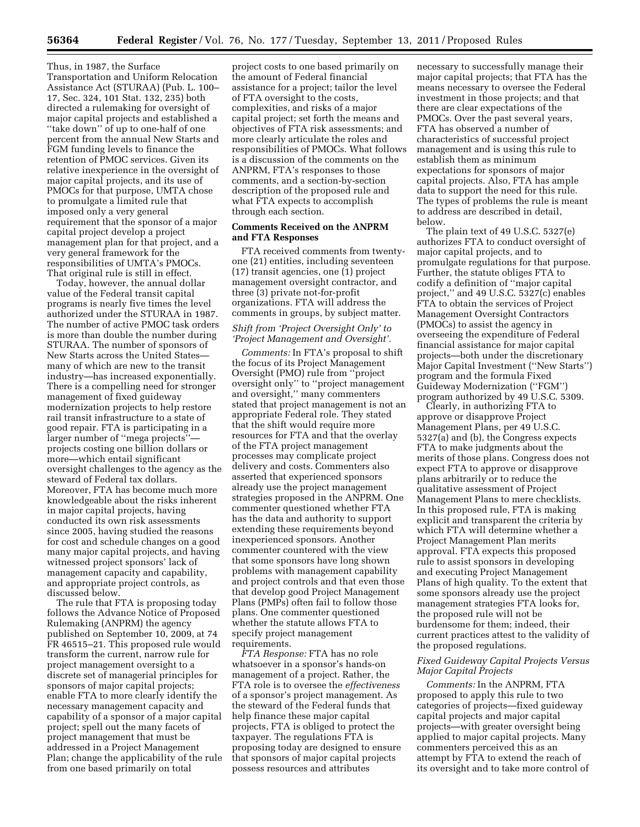Thus, in 1987, the Surface Transportation and Uniform Relocation Assistance Act (STURAA) (Pub. L. 100– 17, Sec. 324, 101 Stat. 132, 235) both directed a rulemaking for oversight of major capital projects and established a ''take down'' of up to one-half of one percent from the annual New Starts and FGM funding levels to finance the retention of PMOC services. Given its relative inexperience in the oversight of major capital projects, and its use of PMOCs for that purpose, UMTA chose to promulgate a limited rule that imposed only a very general requirement that the sponsor of a major capital project develop a project management plan for that project, and a very general framework for the responsibilities of UMTA's PMOCs. That original rule is still in effect.

Today, however, the annual dollar value of the Federal transit capital programs is nearly five times the level authorized under the STURAA in 1987. The number of active PMOC task orders is more than double the number during STURAA. The number of sponsors of New Starts across the United States many of which are new to the transit industry—has increased exponentially. There is a compelling need for stronger management of fixed guideway modernization projects to help restore rail transit infrastructure to a state of good repair. FTA is participating in a larger number of ''mega projects'' projects costing one billion dollars or more—which entail significant oversight challenges to the agency as the steward of Federal tax dollars. Moreover, FTA has become much more knowledgeable about the risks inherent in major capital projects, having conducted its own risk assessments since 2005, having studied the reasons for cost and schedule changes on a good many major capital projects, and having witnessed project sponsors' lack of management capacity and capability, and appropriate project controls, as discussed below.

The rule that FTA is proposing today follows the Advance Notice of Proposed Rulemaking (ANPRM) the agency published on September 10, 2009, at 74 FR 46515–21. This proposed rule would transform the current, narrow rule for project management oversight to a discrete set of managerial principles for sponsors of major capital projects; enable FTA to more clearly identify the necessary management capacity and capability of a sponsor of a major capital project; spell out the many facets of project management that must be addressed in a Project Management Plan; change the applicability of the rule from one based primarily on total

project costs to one based primarily on the amount of Federal financial assistance for a project; tailor the level of FTA oversight to the costs, complexities, and risks of a major capital project; set forth the means and objectives of FTA risk assessments; and more clearly articulate the roles and responsibilities of PMOCs. What follows is a discussion of the comments on the ANPRM, FTA's responses to those comments, and a section-by-section description of the proposed rule and what FTA expects to accomplish through each section.

## **Comments Received on the ANPRM and FTA Responses**

FTA received comments from twentyone (21) entities, including seventeen (17) transit agencies, one (1) project management oversight contractor, and three (3) private not-for-profit organizations. FTA will address the comments in groups, by subject matter.

## *Shift from 'Project Oversight Only' to 'Project Management and Oversight'.*

*Comments:* In FTA's proposal to shift the focus of its Project Management Oversight (PMO) rule from ''project oversight only'' to ''project management and oversight,'' many commenters stated that project management is not an appropriate Federal role. They stated that the shift would require more resources for FTA and that the overlay of the FTA project management processes may complicate project delivery and costs. Commenters also asserted that experienced sponsors already use the project management strategies proposed in the ANPRM. One commenter questioned whether FTA has the data and authority to support extending these requirements beyond inexperienced sponsors. Another commenter countered with the view that some sponsors have long shown problems with management capability and project controls and that even those that develop good Project Management Plans (PMPs) often fail to follow those plans. One commenter questioned whether the statute allows FTA to specify project management requirements.

*FTA Response:* FTA has no role whatsoever in a sponsor's hands-on management of a project. Rather, the FTA role is to oversee the *effectiveness*  of a sponsor's project management. As the steward of the Federal funds that help finance these major capital projects, FTA is obliged to protect the taxpayer. The regulations FTA is proposing today are designed to ensure that sponsors of major capital projects possess resources and attributes

necessary to successfully manage their major capital projects; that FTA has the means necessary to oversee the Federal investment in those projects; and that there are clear expectations of the PMOCs. Over the past several years, FTA has observed a number of characteristics of successful project management and is using this rule to establish them as minimum expectations for sponsors of major capital projects. Also, FTA has ample data to support the need for this rule. The types of problems the rule is meant to address are described in detail, below.

The plain text of 49 U.S.C. 5327(e) authorizes FTA to conduct oversight of major capital projects, and to promulgate regulations for that purpose. Further, the statute obliges FTA to codify a definition of ''major capital project,'' and 49 U.S.C. 5327(c) enables FTA to obtain the services of Project Management Oversight Contractors (PMOCs) to assist the agency in overseeing the expenditure of Federal financial assistance for major capital projects—both under the discretionary Major Capital Investment (''New Starts'') program and the formula Fixed Guideway Modernization (''FGM'') program authorized by 49 U.S.C. 5309.

Clearly, in authorizing FTA to approve or disapprove Project Management Plans, per 49 U.S.C. 5327(a) and (b), the Congress expects FTA to make judgments about the merits of those plans. Congress does not expect FTA to approve or disapprove plans arbitrarily or to reduce the qualitative assessment of Project Management Plans to mere checklists. In this proposed rule, FTA is making explicit and transparent the criteria by which FTA will determine whether a Project Management Plan merits approval. FTA expects this proposed rule to assist sponsors in developing and executing Project Management Plans of high quality. To the extent that some sponsors already use the project management strategies FTA looks for, the proposed rule will not be burdensome for them; indeed, their current practices attest to the validity of the proposed regulations.

## *Fixed Guideway Capital Projects Versus Major Capital Projects*

*Comments:* In the ANPRM, FTA proposed to apply this rule to two categories of projects—fixed guideway capital projects and major capital projects—with greater oversight being applied to major capital projects. Many commenters perceived this as an attempt by FTA to extend the reach of its oversight and to take more control of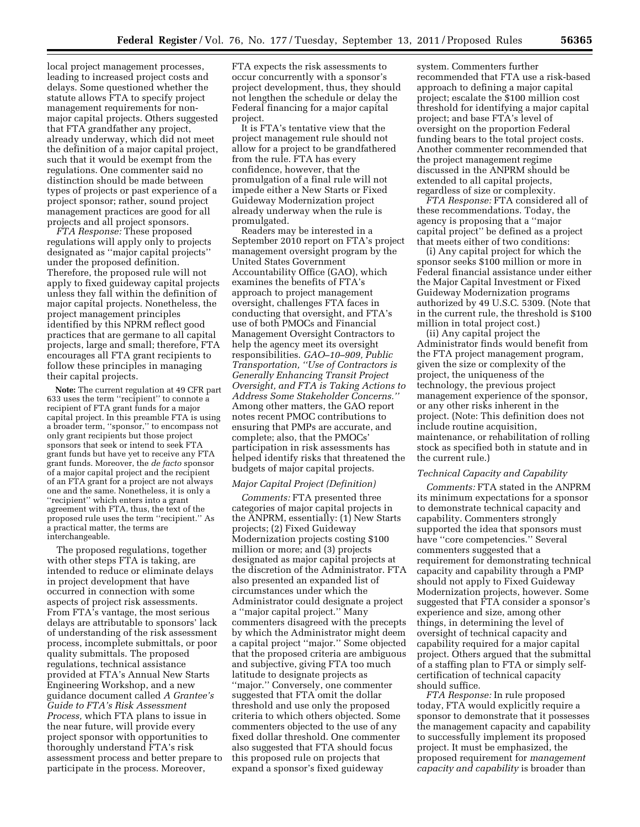local project management processes, leading to increased project costs and delays. Some questioned whether the statute allows FTA to specify project management requirements for nonmajor capital projects. Others suggested that FTA grandfather any project, already underway, which did not meet the definition of a major capital project, such that it would be exempt from the regulations. One commenter said no distinction should be made between types of projects or past experience of a project sponsor; rather, sound project management practices are good for all projects and all project sponsors.

*FTA Response:* These proposed regulations will apply only to projects designated as ''major capital projects'' under the proposed definition. Therefore, the proposed rule will not apply to fixed guideway capital projects unless they fall within the definition of major capital projects. Nonetheless, the project management principles identified by this NPRM reflect good practices that are germane to all capital projects, large and small; therefore, FTA encourages all FTA grant recipients to follow these principles in managing their capital projects.

**Note:** The current regulation at 49 CFR part 633 uses the term ''recipient'' to connote a recipient of FTA grant funds for a major capital project. In this preamble FTA is using a broader term, ''sponsor,'' to encompass not only grant recipients but those project sponsors that seek or intend to seek FTA grant funds but have yet to receive any FTA grant funds. Moreover, the *de facto* sponsor of a major capital project and the recipient of an FTA grant for a project are not always one and the same. Nonetheless, it is only a ''recipient'' which enters into a grant agreement with FTA, thus, the text of the proposed rule uses the term ''recipient.'' As a practical matter, the terms are interchangeable.

The proposed regulations, together with other steps FTA is taking, are intended to reduce or eliminate delays in project development that have occurred in connection with some aspects of project risk assessments. From FTA's vantage, the most serious delays are attributable to sponsors' lack of understanding of the risk assessment process, incomplete submittals, or poor quality submittals. The proposed regulations, technical assistance provided at FTA's Annual New Starts Engineering Workshop, and a new guidance document called *A Grantee's Guide to FTA's Risk Assessment Process,* which FTA plans to issue in the near future, will provide every project sponsor with opportunities to thoroughly understand FTA's risk assessment process and better prepare to participate in the process. Moreover,

FTA expects the risk assessments to occur concurrently with a sponsor's project development, thus, they should not lengthen the schedule or delay the Federal financing for a major capital project.

It is FTA's tentative view that the project management rule should not allow for a project to be grandfathered from the rule. FTA has every confidence, however, that the promulgation of a final rule will not impede either a New Starts or Fixed Guideway Modernization project already underway when the rule is promulgated.

Readers may be interested in a September 2010 report on FTA's project management oversight program by the United States Government Accountability Office (GAO), which examines the benefits of FTA's approach to project management oversight, challenges FTA faces in conducting that oversight, and FTA's use of both PMOCs and Financial Management Oversight Contractors to help the agency meet its oversight responsibilities. *GAO–10–909, Public Transportation, ''Use of Contractors is Generally Enhancing Transit Project Oversight, and FTA is Taking Actions to Address Some Stakeholder Concerns.''*  Among other matters, the GAO report notes recent PMOC contributions to ensuring that PMPs are accurate, and complete; also, that the PMOCs' participation in risk assessments has helped identify risks that threatened the budgets of major capital projects.

#### *Major Capital Project (Definition)*

*Comments:* FTA presented three categories of major capital projects in the ANPRM, essentially: (1) New Starts projects; (2) Fixed Guideway Modernization projects costing \$100 million or more; and (3) projects designated as major capital projects at the discretion of the Administrator. FTA also presented an expanded list of circumstances under which the Administrator could designate a project a ''major capital project.'' Many commenters disagreed with the precepts by which the Administrator might deem a capital project ''major.'' Some objected that the proposed criteria are ambiguous and subjective, giving FTA too much latitude to designate projects as ''major.'' Conversely, one commenter suggested that FTA omit the dollar threshold and use only the proposed criteria to which others objected. Some commenters objected to the use of any fixed dollar threshold. One commenter also suggested that FTA should focus this proposed rule on projects that expand a sponsor's fixed guideway

system. Commenters further recommended that FTA use a risk-based approach to defining a major capital project; escalate the \$100 million cost threshold for identifying a major capital project; and base FTA's level of oversight on the proportion Federal funding bears to the total project costs. Another commenter recommended that the project management regime discussed in the ANPRM should be extended to all capital projects, regardless of size or complexity.

*FTA Response:* FTA considered all of these recommendations. Today, the agency is proposing that a ''major capital project'' be defined as a project that meets either of two conditions:

(i) Any capital project for which the sponsor seeks \$100 million or more in Federal financial assistance under either the Major Capital Investment or Fixed Guideway Modernization programs authorized by 49 U.S.C. 5309. (Note that in the current rule, the threshold is \$100 million in total project cost.)

(ii) Any capital project the Administrator finds would benefit from the FTA project management program, given the size or complexity of the project, the uniqueness of the technology, the previous project management experience of the sponsor, or any other risks inherent in the project. (Note: This definition does not include routine acquisition, maintenance, or rehabilitation of rolling stock as specified both in statute and in the current rule.)

#### *Technical Capacity and Capability*

*Comments:* FTA stated in the ANPRM its minimum expectations for a sponsor to demonstrate technical capacity and capability. Commenters strongly supported the idea that sponsors must have ''core competencies.'' Several commenters suggested that a requirement for demonstrating technical capacity and capability through a PMP should not apply to Fixed Guideway Modernization projects, however. Some suggested that FTA consider a sponsor's experience and size, among other things, in determining the level of oversight of technical capacity and capability required for a major capital project. Others argued that the submittal of a staffing plan to FTA or simply selfcertification of technical capacity should suffice.

*FTA Response:* In rule proposed today, FTA would explicitly require a sponsor to demonstrate that it possesses the management capacity and capability to successfully implement its proposed project. It must be emphasized, the proposed requirement for *management capacity and capability* is broader than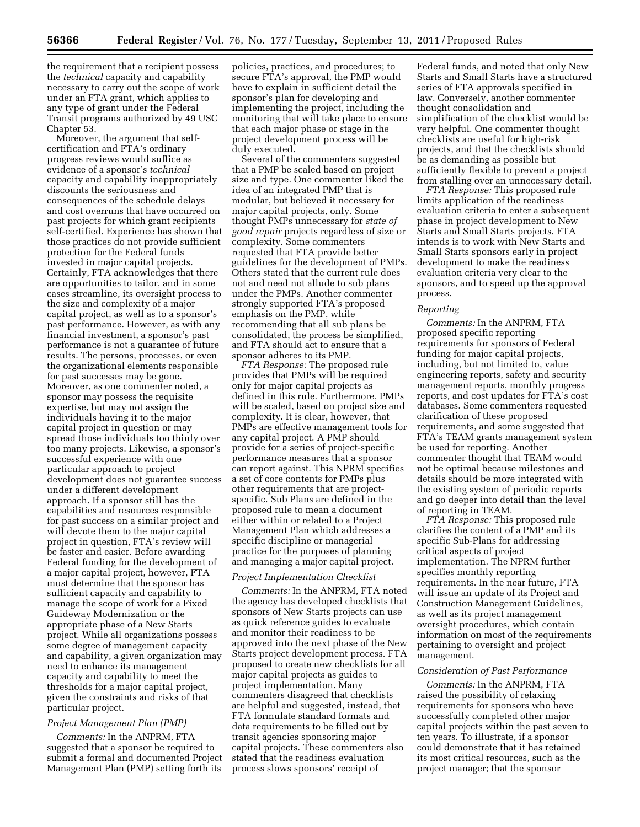the requirement that a recipient possess the *technical* capacity and capability necessary to carry out the scope of work under an FTA grant, which applies to any type of grant under the Federal Transit programs authorized by 49 USC Chapter 53.

Moreover, the argument that selfcertification and FTA's ordinary progress reviews would suffice as evidence of a sponsor's *technical*  capacity and capability inappropriately discounts the seriousness and consequences of the schedule delays and cost overruns that have occurred on past projects for which grant recipients self-certified. Experience has shown that those practices do not provide sufficient protection for the Federal funds invested in major capital projects. Certainly, FTA acknowledges that there are opportunities to tailor, and in some cases streamline, its oversight process to the size and complexity of a major capital project, as well as to a sponsor's past performance. However, as with any financial investment, a sponsor's past performance is not a guarantee of future results. The persons, processes, or even the organizational elements responsible for past successes may be gone. Moreover, as one commenter noted, a sponsor may possess the requisite expertise, but may not assign the individuals having it to the major capital project in question or may spread those individuals too thinly over too many projects. Likewise, a sponsor's successful experience with one particular approach to project development does not guarantee success under a different development approach. If a sponsor still has the capabilities and resources responsible for past success on a similar project and will devote them to the major capital project in question, FTA's review will be faster and easier. Before awarding Federal funding for the development of a major capital project, however, FTA must determine that the sponsor has sufficient capacity and capability to manage the scope of work for a Fixed Guideway Modernization or the appropriate phase of a New Starts project. While all organizations possess some degree of management capacity and capability, a given organization may need to enhance its management capacity and capability to meet the thresholds for a major capital project, given the constraints and risks of that particular project.

### *Project Management Plan (PMP)*

*Comments:* In the ANPRM, FTA suggested that a sponsor be required to submit a formal and documented Project Management Plan (PMP) setting forth its

policies, practices, and procedures; to secure FTA's approval, the PMP would have to explain in sufficient detail the sponsor's plan for developing and implementing the project, including the monitoring that will take place to ensure that each major phase or stage in the project development process will be duly executed.

Several of the commenters suggested that a PMP be scaled based on project size and type. One commenter liked the idea of an integrated PMP that is modular, but believed it necessary for major capital projects, only. Some thought PMPs unnecessary for *state of good repair* projects regardless of size or complexity. Some commenters requested that FTA provide better guidelines for the development of PMPs. Others stated that the current rule does not and need not allude to sub plans under the PMPs. Another commenter strongly supported FTA's proposed emphasis on the PMP, while recommending that all sub plans be consolidated, the process be simplified, and FTA should act to ensure that a sponsor adheres to its PMP.

*FTA Response:* The proposed rule provides that PMPs will be required only for major capital projects as defined in this rule. Furthermore, PMPs will be scaled, based on project size and complexity. It is clear, however, that PMPs are effective management tools for any capital project. A PMP should provide for a series of project-specific performance measures that a sponsor can report against. This NPRM specifies a set of core contents for PMPs plus other requirements that are projectspecific. Sub Plans are defined in the proposed rule to mean a document either within or related to a Project Management Plan which addresses a specific discipline or managerial practice for the purposes of planning and managing a major capital project.

### *Project Implementation Checklist*

*Comments:* In the ANPRM, FTA noted the agency has developed checklists that sponsors of New Starts projects can use as quick reference guides to evaluate and monitor their readiness to be approved into the next phase of the New Starts project development process. FTA proposed to create new checklists for all major capital projects as guides to project implementation. Many commenters disagreed that checklists are helpful and suggested, instead, that FTA formulate standard formats and data requirements to be filled out by transit agencies sponsoring major capital projects. These commenters also stated that the readiness evaluation process slows sponsors' receipt of

Federal funds, and noted that only New Starts and Small Starts have a structured series of FTA approvals specified in law. Conversely, another commenter thought consolidation and simplification of the checklist would be very helpful. One commenter thought checklists are useful for high-risk projects, and that the checklists should be as demanding as possible but sufficiently flexible to prevent a project from stalling over an unnecessary detail.

*FTA Response:* This proposed rule limits application of the readiness evaluation criteria to enter a subsequent phase in project development to New Starts and Small Starts projects. FTA intends is to work with New Starts and Small Starts sponsors early in project development to make the readiness evaluation criteria very clear to the sponsors, and to speed up the approval process.

#### *Reporting*

*Comments:* In the ANPRM, FTA proposed specific reporting requirements for sponsors of Federal funding for major capital projects, including, but not limited to, value engineering reports, safety and security management reports, monthly progress reports, and cost updates for FTA's cost databases. Some commenters requested clarification of these proposed requirements, and some suggested that FTA's TEAM grants management system be used for reporting. Another commenter thought that TEAM would not be optimal because milestones and details should be more integrated with the existing system of periodic reports and go deeper into detail than the level of reporting in TEAM.

*FTA Response:* This proposed rule clarifies the content of a PMP and its specific Sub-Plans for addressing critical aspects of project implementation. The NPRM further specifies monthly reporting requirements. In the near future, FTA will issue an update of its Project and Construction Management Guidelines, as well as its project management oversight procedures, which contain information on most of the requirements pertaining to oversight and project management.

### *Consideration of Past Performance*

*Comments:* In the ANPRM, FTA raised the possibility of relaxing requirements for sponsors who have successfully completed other major capital projects within the past seven to ten years. To illustrate, if a sponsor could demonstrate that it has retained its most critical resources, such as the project manager; that the sponsor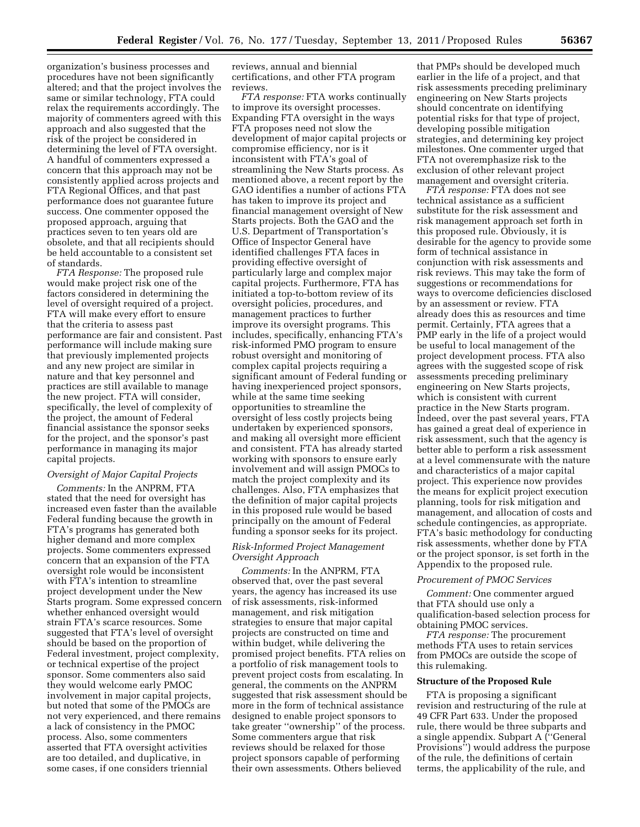organization's business processes and procedures have not been significantly altered; and that the project involves the same or similar technology, FTA could relax the requirements accordingly. The majority of commenters agreed with this approach and also suggested that the risk of the project be considered in determining the level of FTA oversight. A handful of commenters expressed a concern that this approach may not be consistently applied across projects and FTA Regional Offices, and that past performance does not guarantee future success. One commenter opposed the proposed approach, arguing that practices seven to ten years old are obsolete, and that all recipients should be held accountable to a consistent set of standards.

*FTA Response:* The proposed rule would make project risk one of the factors considered in determining the level of oversight required of a project. FTA will make every effort to ensure that the criteria to assess past performance are fair and consistent. Past performance will include making sure that previously implemented projects and any new project are similar in nature and that key personnel and practices are still available to manage the new project. FTA will consider, specifically, the level of complexity of the project, the amount of Federal financial assistance the sponsor seeks for the project, and the sponsor's past performance in managing its major capital projects.

## *Oversight of Major Capital Projects*

*Comments:* In the ANPRM, FTA stated that the need for oversight has increased even faster than the available Federal funding because the growth in FTA's programs has generated both higher demand and more complex projects. Some commenters expressed concern that an expansion of the FTA oversight role would be inconsistent with FTA's intention to streamline project development under the New Starts program. Some expressed concern whether enhanced oversight would strain FTA's scarce resources. Some suggested that FTA's level of oversight should be based on the proportion of Federal investment, project complexity, or technical expertise of the project sponsor. Some commenters also said they would welcome early PMOC involvement in major capital projects, but noted that some of the PMOCs are not very experienced, and there remains a lack of consistency in the PMOC process. Also, some commenters asserted that FTA oversight activities are too detailed, and duplicative, in some cases, if one considers triennial

reviews, annual and biennial certifications, and other FTA program reviews.

*FTA response:* FTA works continually to improve its oversight processes. Expanding FTA oversight in the ways FTA proposes need not slow the development of major capital projects or compromise efficiency, nor is it inconsistent with FTA's goal of streamlining the New Starts process. As mentioned above, a recent report by the GAO identifies a number of actions FTA has taken to improve its project and financial management oversight of New Starts projects. Both the GAO and the U.S. Department of Transportation's Office of Inspector General have identified challenges FTA faces in providing effective oversight of particularly large and complex major capital projects. Furthermore, FTA has initiated a top-to-bottom review of its oversight policies, procedures, and management practices to further improve its oversight programs. This includes, specifically, enhancing FTA's risk-informed PMO program to ensure robust oversight and monitoring of complex capital projects requiring a significant amount of Federal funding or having inexperienced project sponsors, while at the same time seeking opportunities to streamline the oversight of less costly projects being undertaken by experienced sponsors, and making all oversight more efficient and consistent. FTA has already started working with sponsors to ensure early involvement and will assign PMOCs to match the project complexity and its challenges. Also, FTA emphasizes that the definition of major capital projects in this proposed rule would be based principally on the amount of Federal funding a sponsor seeks for its project.

## *Risk-Informed Project Management Oversight Approach*

*Comments:* In the ANPRM, FTA observed that, over the past several years, the agency has increased its use of risk assessments, risk-informed management, and risk mitigation strategies to ensure that major capital projects are constructed on time and within budget, while delivering the promised project benefits. FTA relies on a portfolio of risk management tools to prevent project costs from escalating. In general, the comments on the ANPRM suggested that risk assessment should be more in the form of technical assistance designed to enable project sponsors to take greater ''ownership'' of the process. Some commenters argue that risk reviews should be relaxed for those project sponsors capable of performing their own assessments. Others believed

that PMPs should be developed much earlier in the life of a project, and that risk assessments preceding preliminary engineering on New Starts projects should concentrate on identifying potential risks for that type of project, developing possible mitigation strategies, and determining key project milestones. One commenter urged that FTA not overemphasize risk to the exclusion of other relevant project management and oversight criteria.

*FTA response:* FTA does not see technical assistance as a sufficient substitute for the risk assessment and risk management approach set forth in this proposed rule. Obviously, it is desirable for the agency to provide some form of technical assistance in conjunction with risk assessments and risk reviews. This may take the form of suggestions or recommendations for ways to overcome deficiencies disclosed by an assessment or review. FTA already does this as resources and time permit. Certainly, FTA agrees that a PMP early in the life of a project would be useful to local management of the project development process. FTA also agrees with the suggested scope of risk assessments preceding preliminary engineering on New Starts projects, which is consistent with current practice in the New Starts program. Indeed, over the past several years, FTA has gained a great deal of experience in risk assessment, such that the agency is better able to perform a risk assessment at a level commensurate with the nature and characteristics of a major capital project. This experience now provides the means for explicit project execution planning, tools for risk mitigation and management, and allocation of costs and schedule contingencies, as appropriate. FTA's basic methodology for conducting risk assessments, whether done by FTA or the project sponsor, is set forth in the Appendix to the proposed rule.

#### *Procurement of PMOC Services*

*Comment:* One commenter argued that FTA should use only a qualification-based selection process for obtaining PMOC services.

*FTA response:* The procurement methods FTA uses to retain services from PMOCs are outside the scope of this rulemaking.

### **Structure of the Proposed Rule**

FTA is proposing a significant revision and restructuring of the rule at 49 CFR Part 633. Under the proposed rule, there would be three subparts and a single appendix. Subpart A (''General Provisions'') would address the purpose of the rule, the definitions of certain terms, the applicability of the rule, and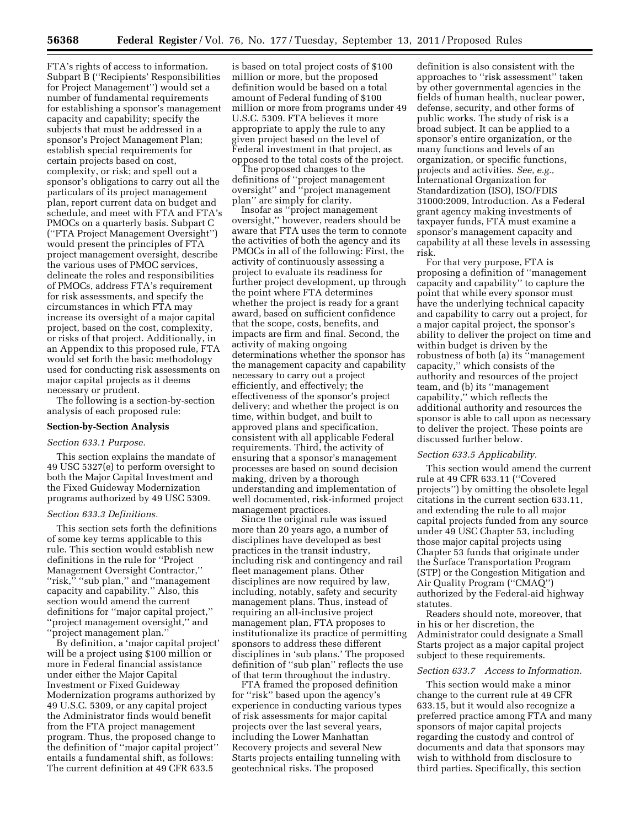FTA's rights of access to information. Subpart B (''Recipients' Responsibilities for Project Management'') would set a number of fundamental requirements for establishing a sponsor's management capacity and capability; specify the subjects that must be addressed in a sponsor's Project Management Plan; establish special requirements for certain projects based on cost, complexity, or risk; and spell out a sponsor's obligations to carry out all the particulars of its project management plan, report current data on budget and schedule, and meet with FTA and FTA's PMOCs on a quarterly basis. Subpart C (''FTA Project Management Oversight'') would present the principles of FTA project management oversight, describe the various uses of PMOC services, delineate the roles and responsibilities of PMOCs, address FTA's requirement for risk assessments, and specify the circumstances in which FTA may increase its oversight of a major capital project, based on the cost, complexity, or risks of that project. Additionally, in an Appendix to this proposed rule, FTA would set forth the basic methodology used for conducting risk assessments on major capital projects as it deems necessary or prudent.

The following is a section-by-section analysis of each proposed rule:

# **Section-by-Section Analysis**

### *Section 633.1 Purpose.*

This section explains the mandate of 49 USC 5327(e) to perform oversight to both the Major Capital Investment and the Fixed Guideway Modernization programs authorized by 49 USC 5309.

#### *Section 633.3 Definitions.*

This section sets forth the definitions of some key terms applicable to this rule. This section would establish new definitions in the rule for ''Project Management Oversight Contractor,'' ''risk,'' ''sub plan,'' and ''management capacity and capability.'' Also, this section would amend the current definitions for ''major capital project,'' ''project management oversight,'' and ''project management plan.''

By definition, a 'major capital project' will be a project using \$100 million or more in Federal financial assistance under either the Major Capital Investment or Fixed Guideway Modernization programs authorized by 49 U.S.C. 5309, or any capital project the Administrator finds would benefit from the FTA project management program. Thus, the proposed change to the definition of ''major capital project'' entails a fundamental shift, as follows: The current definition at 49 CFR 633.5

is based on total project costs of \$100 million or more, but the proposed definition would be based on a total amount of Federal funding of \$100 million or more from programs under 49 U.S.C. 5309. FTA believes it more appropriate to apply the rule to any given project based on the level of Federal investment in that project, as opposed to the total costs of the project.

The proposed changes to the definitions of ''project management oversight'' and ''project management plan'' are simply for clarity.

Insofar as ''project management oversight,'' however, readers should be aware that FTA uses the term to connote the activities of both the agency and its PMOCs in all of the following: First, the activity of continuously assessing a project to evaluate its readiness for further project development, up through the point where FTA determines whether the project is ready for a grant award, based on sufficient confidence that the scope, costs, benefits, and impacts are firm and final. Second, the activity of making ongoing determinations whether the sponsor has the management capacity and capability necessary to carry out a project efficiently, and effectively; the effectiveness of the sponsor's project delivery; and whether the project is on time, within budget, and built to approved plans and specification, consistent with all applicable Federal requirements. Third, the activity of ensuring that a sponsor's management processes are based on sound decision making, driven by a thorough understanding and implementation of well documented, risk-informed project management practices.

Since the original rule was issued more than 20 years ago, a number of disciplines have developed as best practices in the transit industry, including risk and contingency and rail fleet management plans. Other disciplines are now required by law, including, notably, safety and security management plans. Thus, instead of requiring an all-inclusive project management plan, FTA proposes to institutionalize its practice of permitting sponsors to address these different disciplines in 'sub plans.' The proposed definition of ''sub plan'' reflects the use of that term throughout the industry.

FTA framed the proposed definition for ''risk'' based upon the agency's experience in conducting various types of risk assessments for major capital projects over the last several years, including the Lower Manhattan Recovery projects and several New Starts projects entailing tunneling with geotechnical risks. The proposed

definition is also consistent with the approaches to ''risk assessment'' taken by other governmental agencies in the fields of human health, nuclear power, defense, security, and other forms of public works. The study of risk is a broad subject. It can be applied to a sponsor's entire organization, or the many functions and levels of an organization, or specific functions, projects and activities. *See, e.g.,*  International Organization for Standardization (ISO), ISO/FDIS 31000:2009, Introduction. As a Federal grant agency making investments of taxpayer funds, FTA must examine a sponsor's management capacity and capability at all these levels in assessing risk.

For that very purpose, FTA is proposing a definition of ''management capacity and capability'' to capture the point that while every sponsor must have the underlying technical capacity and capability to carry out a project, for a major capital project, the sponsor's ability to deliver the project on time and within budget is driven by the robustness of both (a) its ''management capacity,'' which consists of the authority and resources of the project team, and (b) its ''management capability,'' which reflects the additional authority and resources the sponsor is able to call upon as necessary to deliver the project. These points are discussed further below.

#### *Section 633.5 Applicability.*

This section would amend the current rule at 49 CFR 633.11 (''Covered projects'') by omitting the obsolete legal citations in the current section 633.11, and extending the rule to all major capital projects funded from any source under 49 USC Chapter 53, including those major capital projects using Chapter 53 funds that originate under the Surface Transportation Program (STP) or the Congestion Mitigation and Air Quality Program (''CMAQ'') authorized by the Federal-aid highway statutes.

Readers should note, moreover, that in his or her discretion, the Administrator could designate a Small Starts project as a major capital project subject to these requirements.

#### *Section 633.7 Access to Information.*

This section would make a minor change to the current rule at 49 CFR 633.15, but it would also recognize a preferred practice among FTA and many sponsors of major capital projects regarding the custody and control of documents and data that sponsors may wish to withhold from disclosure to third parties. Specifically, this section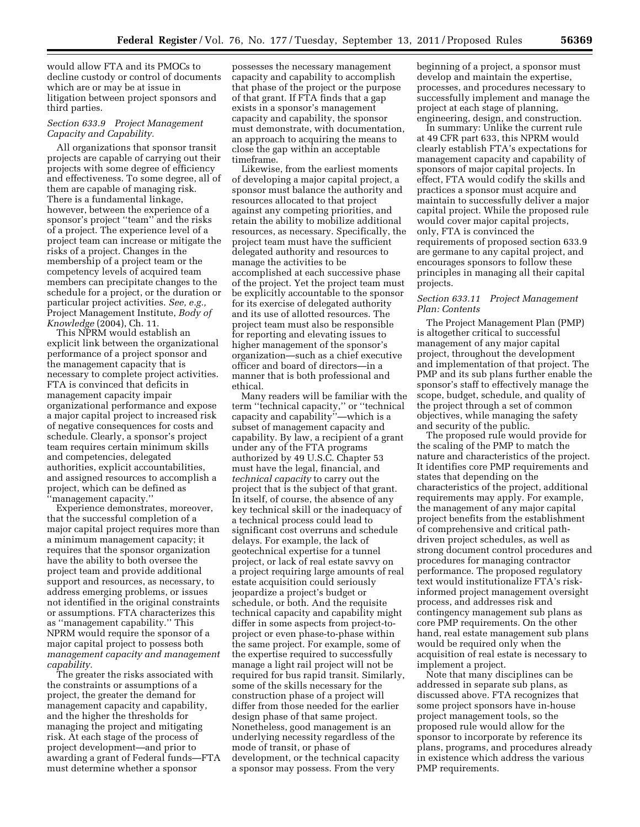would allow FTA and its PMOCs to decline custody or control of documents which are or may be at issue in litigation between project sponsors and third parties.

## *Section 633.9 Project Management Capacity and Capability.*

All organizations that sponsor transit projects are capable of carrying out their projects with some degree of efficiency and effectiveness. To some degree, all of them are capable of managing risk. There is a fundamental linkage, however, between the experience of a sponsor's project ''team'' and the risks of a project. The experience level of a project team can increase or mitigate the risks of a project. Changes in the membership of a project team or the competency levels of acquired team members can precipitate changes to the schedule for a project, or the duration or particular project activities. *See, e.g.,*  Project Management Institute, *Body of Knowledge* (2004), Ch. 11.

This NPRM would establish an explicit link between the organizational performance of a project sponsor and the management capacity that is necessary to complete project activities. FTA is convinced that deficits in management capacity impair organizational performance and expose a major capital project to increased risk of negative consequences for costs and schedule. Clearly, a sponsor's project team requires certain minimum skills and competencies, delegated authorities, explicit accountabilities, and assigned resources to accomplish a project, which can be defined as ''management capacity.''

Experience demonstrates, moreover, that the successful completion of a major capital project requires more than a minimum management capacity; it requires that the sponsor organization have the ability to both oversee the project team and provide additional support and resources, as necessary, to address emerging problems, or issues not identified in the original constraints or assumptions. FTA characterizes this as ''management capability.'' This NPRM would require the sponsor of a major capital project to possess both *management capacity and management capability.* 

The greater the risks associated with the constraints or assumptions of a project, the greater the demand for management capacity and capability, and the higher the thresholds for managing the project and mitigating risk. At each stage of the process of project development—and prior to awarding a grant of Federal funds—FTA must determine whether a sponsor

possesses the necessary management capacity and capability to accomplish that phase of the project or the purpose of that grant. If FTA finds that a gap exists in a sponsor's management capacity and capability, the sponsor must demonstrate, with documentation, an approach to acquiring the means to close the gap within an acceptable timeframe.

Likewise, from the earliest moments of developing a major capital project, a sponsor must balance the authority and resources allocated to that project against any competing priorities, and retain the ability to mobilize additional resources, as necessary. Specifically, the project team must have the sufficient delegated authority and resources to manage the activities to be accomplished at each successive phase of the project. Yet the project team must be explicitly accountable to the sponsor for its exercise of delegated authority and its use of allotted resources. The project team must also be responsible for reporting and elevating issues to higher management of the sponsor's organization—such as a chief executive officer and board of directors—in a manner that is both professional and ethical.

Many readers will be familiar with the term ''technical capacity,'' or ''technical capacity and capability''—which is a subset of management capacity and capability. By law, a recipient of a grant under any of the FTA programs authorized by 49 U.S.C. Chapter 53 must have the legal, financial, and *technical capacity* to carry out the project that is the subject of that grant. In itself, of course, the absence of any key technical skill or the inadequacy of a technical process could lead to significant cost overruns and schedule delays. For example, the lack of geotechnical expertise for a tunnel project, or lack of real estate savvy on a project requiring large amounts of real estate acquisition could seriously jeopardize a project's budget or schedule, or both. And the requisite technical capacity and capability might differ in some aspects from project-toproject or even phase-to-phase within the same project. For example, some of the expertise required to successfully manage a light rail project will not be required for bus rapid transit. Similarly, some of the skills necessary for the construction phase of a project will differ from those needed for the earlier design phase of that same project. Nonetheless, good management is an underlying necessity regardless of the mode of transit, or phase of development, or the technical capacity a sponsor may possess. From the very

beginning of a project, a sponsor must develop and maintain the expertise, processes, and procedures necessary to successfully implement and manage the project at each stage of planning, engineering, design, and construction.

In summary: Unlike the current rule at 49 CFR part 633, this NPRM would clearly establish FTA's expectations for management capacity and capability of sponsors of major capital projects. In effect, FTA would codify the skills and practices a sponsor must acquire and maintain to successfully deliver a major capital project. While the proposed rule would cover major capital projects, only, FTA is convinced the requirements of proposed section 633.9 are germane to any capital project, and encourages sponsors to follow these principles in managing all their capital projects.

### *Section 633.11 Project Management Plan: Contents*

The Project Management Plan (PMP) is altogether critical to successful management of any major capital project, throughout the development and implementation of that project. The PMP and its sub plans further enable the sponsor's staff to effectively manage the scope, budget, schedule, and quality of the project through a set of common objectives, while managing the safety and security of the public.

The proposed rule would provide for the scaling of the PMP to match the nature and characteristics of the project. It identifies core PMP requirements and states that depending on the characteristics of the project, additional requirements may apply. For example, the management of any major capital project benefits from the establishment of comprehensive and critical pathdriven project schedules, as well as strong document control procedures and procedures for managing contractor performance. The proposed regulatory text would institutionalize FTA's riskinformed project management oversight process, and addresses risk and contingency management sub plans as core PMP requirements. On the other hand, real estate management sub plans would be required only when the acquisition of real estate is necessary to implement a project.

Note that many disciplines can be addressed in separate sub plans, as discussed above. FTA recognizes that some project sponsors have in-house project management tools, so the proposed rule would allow for the sponsor to incorporate by reference its plans, programs, and procedures already in existence which address the various PMP requirements.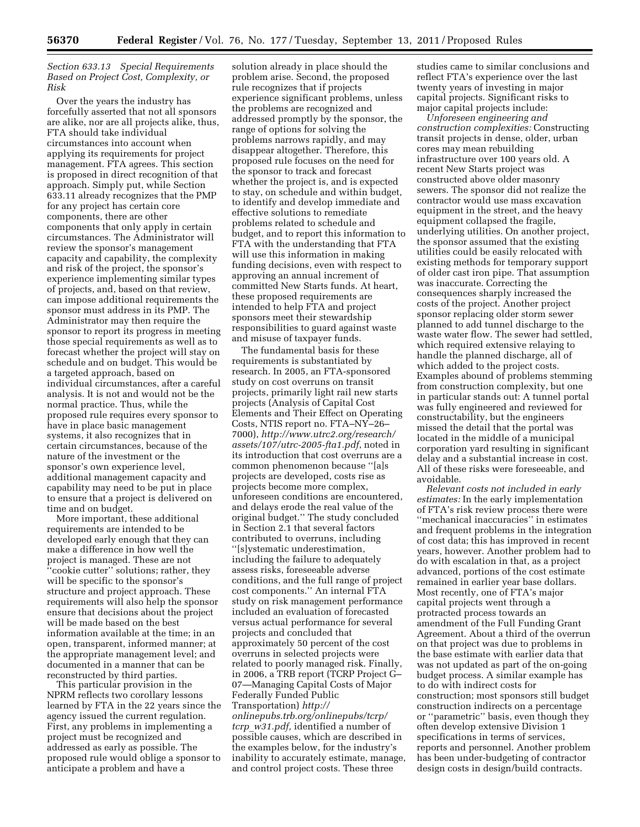# *Section 633.13 Special Requirements Based on Project Cost, Complexity, or Risk*

Over the years the industry has forcefully asserted that not all sponsors are alike, nor are all projects alike, thus, FTA should take individual circumstances into account when applying its requirements for project management. FTA agrees. This section is proposed in direct recognition of that approach. Simply put, while Section 633.11 already recognizes that the PMP for any project has certain core components, there are other components that only apply in certain circumstances. The Administrator will review the sponsor's management capacity and capability, the complexity and risk of the project, the sponsor's experience implementing similar types of projects, and, based on that review, can impose additional requirements the sponsor must address in its PMP. The Administrator may then require the sponsor to report its progress in meeting those special requirements as well as to forecast whether the project will stay on schedule and on budget. This would be a targeted approach, based on individual circumstances, after a careful analysis. It is not and would not be the normal practice. Thus, while the proposed rule requires every sponsor to have in place basic management systems, it also recognizes that in certain circumstances, because of the nature of the investment or the sponsor's own experience level, additional management capacity and capability may need to be put in place to ensure that a project is delivered on time and on budget.

More important, these additional requirements are intended to be developed early enough that they can make a difference in how well the project is managed. These are not ''cookie cutter'' solutions; rather, they will be specific to the sponsor's structure and project approach. These requirements will also help the sponsor ensure that decisions about the project will be made based on the best information available at the time; in an open, transparent, informed manner; at the appropriate management level; and documented in a manner that can be reconstructed by third parties.

This particular provision in the NPRM reflects two corollary lessons learned by FTA in the 22 years since the agency issued the current regulation. First, any problems in implementing a project must be recognized and addressed as early as possible. The proposed rule would oblige a sponsor to anticipate a problem and have a

solution already in place should the problem arise. Second, the proposed rule recognizes that if projects experience significant problems, unless the problems are recognized and addressed promptly by the sponsor, the range of options for solving the problems narrows rapidly, and may disappear altogether. Therefore, this proposed rule focuses on the need for the sponsor to track and forecast whether the project is, and is expected to stay, on schedule and within budget, to identify and develop immediate and effective solutions to remediate problems related to schedule and budget, and to report this information to FTA with the understanding that FTA will use this information in making funding decisions, even with respect to approving an annual increment of committed New Starts funds. At heart, these proposed requirements are intended to help FTA and project sponsors meet their stewardship responsibilities to guard against waste and misuse of taxpayer funds.

The fundamental basis for these requirements is substantiated by research. In 2005, an FTA-sponsored study on cost overruns on transit projects, primarily light rail new starts projects (Analysis of Capital Cost Elements and Their Effect on Operating Costs, NTIS report no. FTA–NY–26– 7000), *[http://www.utrc2.org/research/](http://www.utrc2.org/research/assets/107/utrc-2005-fta1.pdf) [assets/107/utrc-2005-fta1.pdf](http://www.utrc2.org/research/assets/107/utrc-2005-fta1.pdf)*, noted in its introduction that cost overruns are a common phenomenon because ''[a]s projects are developed, costs rise as projects become more complex, unforeseen conditions are encountered, and delays erode the real value of the original budget.'' The study concluded in Section 2.1 that several factors contributed to overruns, including ''[s]ystematic underestimation, including the failure to adequately assess risks, foreseeable adverse conditions, and the full range of project cost components.'' An internal FTA study on risk management performance included an evaluation of forecasted versus actual performance for several projects and concluded that approximately 50 percent of the cost overruns in selected projects were related to poorly managed risk. Finally, in 2006, a TRB report (TCRP Project G– 07—Managing Capital Costs of Major Federally Funded Public Transportation) *[http://](http://onlinepubs.trb.org/onlinepubs/tcrp/tcrp_w31.pdf) [onlinepubs.trb.org/onlinepubs/tcrp/](http://onlinepubs.trb.org/onlinepubs/tcrp/tcrp_w31.pdf)  tcrp*\_*[w31.pdf,](http://onlinepubs.trb.org/onlinepubs/tcrp/tcrp_w31.pdf)* identified a number of possible causes, which are described in the examples below, for the industry's inability to accurately estimate, manage, and control project costs. These three

studies came to similar conclusions and reflect FTA's experience over the last twenty years of investing in major capital projects. Significant risks to major capital projects include:

*Unforeseen engineering and construction complexities:* Constructing transit projects in dense, older, urban cores may mean rebuilding infrastructure over 100 years old. A recent New Starts project was constructed above older masonry sewers. The sponsor did not realize the contractor would use mass excavation equipment in the street, and the heavy equipment collapsed the fragile, underlying utilities. On another project, the sponsor assumed that the existing utilities could be easily relocated with existing methods for temporary support of older cast iron pipe. That assumption was inaccurate. Correcting the consequences sharply increased the costs of the project. Another project sponsor replacing older storm sewer planned to add tunnel discharge to the waste water flow. The sewer had settled, which required extensive relaying to handle the planned discharge, all of which added to the project costs. Examples abound of problems stemming from construction complexity, but one in particular stands out: A tunnel portal was fully engineered and reviewed for constructability, but the engineers missed the detail that the portal was located in the middle of a municipal corporation yard resulting in significant delay and a substantial increase in cost. All of these risks were foreseeable, and avoidable.

*Relevant costs not included in early estimates:* In the early implementation of FTA's risk review process there were ''mechanical inaccuracies'' in estimates and frequent problems in the integration of cost data; this has improved in recent years, however. Another problem had to do with escalation in that, as a project advanced, portions of the cost estimate remained in earlier year base dollars. Most recently, one of FTA's major capital projects went through a protracted process towards an amendment of the Full Funding Grant Agreement. About a third of the overrun on that project was due to problems in the base estimate with earlier data that was not updated as part of the on-going budget process. A similar example has to do with indirect costs for construction; most sponsors still budget construction indirects on a percentage or ''parametric'' basis, even though they often develop extensive Division 1 specifications in terms of services, reports and personnel. Another problem has been under-budgeting of contractor design costs in design/build contracts.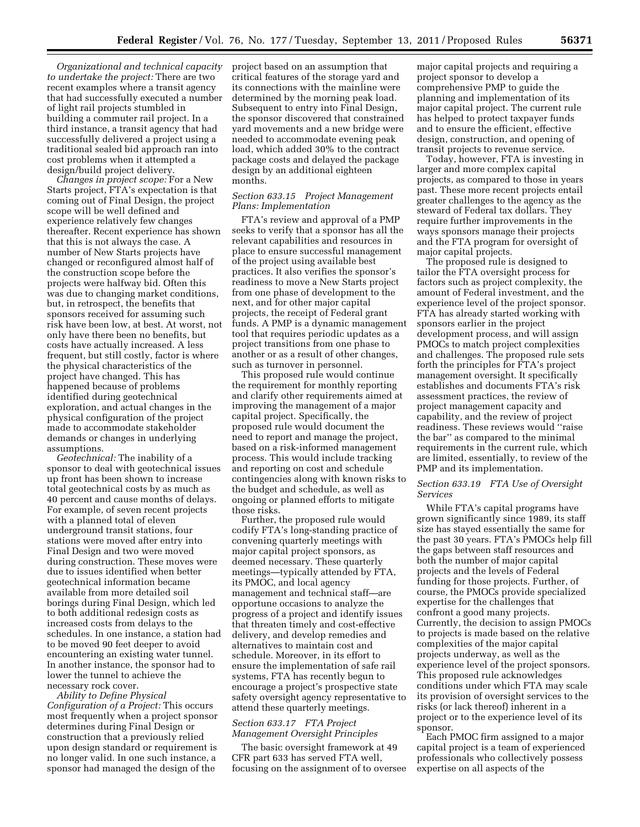*Organizational and technical capacity to undertake the project:* There are two recent examples where a transit agency that had successfully executed a number of light rail projects stumbled in building a commuter rail project. In a third instance, a transit agency that had successfully delivered a project using a traditional sealed bid approach ran into cost problems when it attempted a design/build project delivery.

*Changes in project scope:* For a New Starts project, FTA's expectation is that coming out of Final Design, the project scope will be well defined and experience relatively few changes thereafter. Recent experience has shown that this is not always the case. A number of New Starts projects have changed or reconfigured almost half of the construction scope before the projects were halfway bid. Often this was due to changing market conditions, but, in retrospect, the benefits that sponsors received for assuming such risk have been low, at best. At worst, not only have there been no benefits, but costs have actually increased. A less frequent, but still costly, factor is where the physical characteristics of the project have changed. This has happened because of problems identified during geotechnical exploration, and actual changes in the physical configuration of the project made to accommodate stakeholder demands or changes in underlying assumptions.

*Geotechnical:* The inability of a sponsor to deal with geotechnical issues up front has been shown to increase total geotechnical costs by as much as 40 percent and cause months of delays. For example, of seven recent projects with a planned total of eleven underground transit stations, four stations were moved after entry into Final Design and two were moved during construction. These moves were due to issues identified when better geotechnical information became available from more detailed soil borings during Final Design, which led to both additional redesign costs as increased costs from delays to the schedules. In one instance, a station had to be moved 90 feet deeper to avoid encountering an existing water tunnel. In another instance, the sponsor had to lower the tunnel to achieve the necessary rock cover.

*Ability to Define Physical Configuration of a Project:* This occurs most frequently when a project sponsor determines during Final Design or construction that a previously relied upon design standard or requirement is no longer valid. In one such instance, a sponsor had managed the design of the

project based on an assumption that critical features of the storage yard and its connections with the mainline were determined by the morning peak load. Subsequent to entry into Final Design, the sponsor discovered that constrained yard movements and a new bridge were needed to accommodate evening peak load, which added 30% to the contract package costs and delayed the package design by an additional eighteen months.

## *Section 633.15 Project Management Plans: Implementation*

FTA's review and approval of a PMP seeks to verify that a sponsor has all the relevant capabilities and resources in place to ensure successful management of the project using available best practices. It also verifies the sponsor's readiness to move a New Starts project from one phase of development to the next, and for other major capital projects, the receipt of Federal grant funds. A PMP is a dynamic management tool that requires periodic updates as a project transitions from one phase to another or as a result of other changes, such as turnover in personnel.

This proposed rule would continue the requirement for monthly reporting and clarify other requirements aimed at improving the management of a major capital project. Specifically, the proposed rule would document the need to report and manage the project, based on a risk-informed management process. This would include tracking and reporting on cost and schedule contingencies along with known risks to the budget and schedule, as well as ongoing or planned efforts to mitigate those risks.

Further, the proposed rule would codify FTA's long-standing practice of convening quarterly meetings with major capital project sponsors, as deemed necessary. These quarterly meetings—typically attended by FTA, its PMOC, and local agency management and technical staff—are opportune occasions to analyze the progress of a project and identify issues that threaten timely and cost-effective delivery, and develop remedies and alternatives to maintain cost and schedule. Moreover, in its effort to ensure the implementation of safe rail systems, FTA has recently begun to encourage a project's prospective state safety oversight agency representative to attend these quarterly meetings.

### *Section 633.17 FTA Project Management Oversight Principles*

The basic oversight framework at 49 CFR part 633 has served FTA well, focusing on the assignment of to oversee

major capital projects and requiring a project sponsor to develop a comprehensive PMP to guide the planning and implementation of its major capital project. The current rule has helped to protect taxpayer funds and to ensure the efficient, effective design, construction, and opening of transit projects to revenue service.

Today, however, FTA is investing in larger and more complex capital projects, as compared to those in years past. These more recent projects entail greater challenges to the agency as the steward of Federal tax dollars. They require further improvements in the ways sponsors manage their projects and the FTA program for oversight of major capital projects.

The proposed rule is designed to tailor the FTA oversight process for factors such as project complexity, the amount of Federal investment, and the experience level of the project sponsor. FTA has already started working with sponsors earlier in the project development process, and will assign PMOCs to match project complexities and challenges. The proposed rule sets forth the principles for FTA's project management oversight. It specifically establishes and documents FTA's risk assessment practices, the review of project management capacity and capability, and the review of project readiness. These reviews would ''raise the bar'' as compared to the minimal requirements in the current rule, which are limited, essentially, to review of the PMP and its implementation.

## *Section 633.19 FTA Use of Oversight Services*

While FTA's capital programs have grown significantly since 1989, its staff size has stayed essentially the same for the past 30 years. FTA's PMOCs help fill the gaps between staff resources and both the number of major capital projects and the levels of Federal funding for those projects. Further, of course, the PMOCs provide specialized expertise for the challenges that confront a good many projects. Currently, the decision to assign PMOCs to projects is made based on the relative complexities of the major capital projects underway, as well as the experience level of the project sponsors. This proposed rule acknowledges conditions under which FTA may scale its provision of oversight services to the risks (or lack thereof) inherent in a project or to the experience level of its sponsor.

Each PMOC firm assigned to a major capital project is a team of experienced professionals who collectively possess expertise on all aspects of the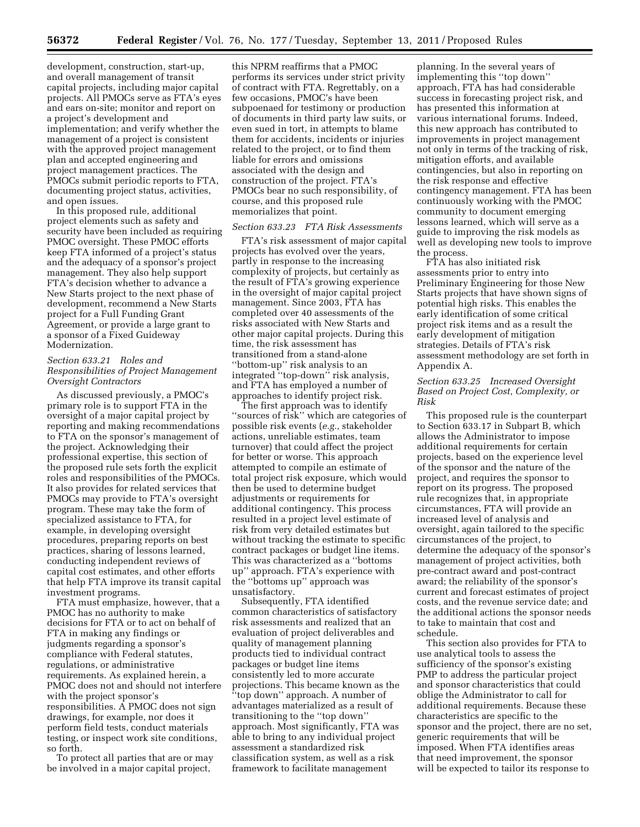development, construction, start-up, and overall management of transit capital projects, including major capital projects. All PMOCs serve as FTA's eyes and ears on-site; monitor and report on a project's development and implementation; and verify whether the management of a project is consistent with the approved project management plan and accepted engineering and project management practices. The PMOCs submit periodic reports to FTA, documenting project status, activities, and open issues.

In this proposed rule, additional project elements such as safety and security have been included as requiring PMOC oversight. These PMOC efforts keep FTA informed of a project's status and the adequacy of a sponsor's project management. They also help support FTA's decision whether to advance a New Starts project to the next phase of development, recommend a New Starts project for a Full Funding Grant Agreement, or provide a large grant to a sponsor of a Fixed Guideway Modernization.

## *Section 633.21 Roles and Responsibilities of Project Management Oversight Contractors*

As discussed previously, a PMOC's primary role is to support FTA in the oversight of a major capital project by reporting and making recommendations to FTA on the sponsor's management of the project. Acknowledging their professional expertise, this section of the proposed rule sets forth the explicit roles and responsibilities of the PMOCs. It also provides for related services that PMOCs may provide to FTA's oversight program. These may take the form of specialized assistance to FTA, for example, in developing oversight procedures, preparing reports on best practices, sharing of lessons learned, conducting independent reviews of capital cost estimates, and other efforts that help FTA improve its transit capital investment programs.

FTA must emphasize, however, that a PMOC has no authority to make decisions for FTA or to act on behalf of FTA in making any findings or judgments regarding a sponsor's compliance with Federal statutes, regulations, or administrative requirements. As explained herein, a PMOC does not and should not interfere with the project sponsor's responsibilities. A PMOC does not sign drawings, for example, nor does it perform field tests, conduct materials testing, or inspect work site conditions, so forth.

To protect all parties that are or may be involved in a major capital project,

this NPRM reaffirms that a PMOC performs its services under strict privity of contract with FTA. Regrettably, on a few occasions, PMOC's have been subpoenaed for testimony or production of documents in third party law suits, or even sued in tort, in attempts to blame them for accidents, incidents or injuries related to the project, or to find them liable for errors and omissions associated with the design and construction of the project. FTA's PMOCs bear no such responsibility, of course, and this proposed rule memorializes that point.

# *Section 633.23 FTA Risk Assessments*

FTA's risk assessment of major capital projects has evolved over the years, partly in response to the increasing complexity of projects, but certainly as the result of FTA's growing experience in the oversight of major capital project management. Since 2003, FTA has completed over 40 assessments of the risks associated with New Starts and other major capital projects. During this time, the risk assessment has transitioned from a stand-alone ''bottom-up'' risk analysis to an integrated ''top-down'' risk analysis, and FTA has employed a number of approaches to identify project risk.

The first approach was to identify ''sources of risk'' which are categories of possible risk events (*e.g.,* stakeholder actions, unreliable estimates, team turnover) that could affect the project for better or worse. This approach attempted to compile an estimate of total project risk exposure, which would then be used to determine budget adjustments or requirements for additional contingency. This process resulted in a project level estimate of risk from very detailed estimates but without tracking the estimate to specific contract packages or budget line items. This was characterized as a ''bottoms up'' approach. FTA's experience with the ''bottoms up'' approach was unsatisfactory.

Subsequently, FTA identified common characteristics of satisfactory risk assessments and realized that an evaluation of project deliverables and quality of management planning products tied to individual contract packages or budget line items consistently led to more accurate projections. This became known as the 'top down'' approach. A number of advantages materialized as a result of transitioning to the ''top down'' approach. Most significantly, FTA was able to bring to any individual project assessment a standardized risk classification system, as well as a risk framework to facilitate management

planning. In the several years of implementing this ''top down'' approach, FTA has had considerable success in forecasting project risk, and has presented this information at various international forums. Indeed, this new approach has contributed to improvements in project management not only in terms of the tracking of risk, mitigation efforts, and available contingencies, but also in reporting on the risk response and effective contingency management. FTA has been continuously working with the PMOC community to document emerging lessons learned, which will serve as a guide to improving the risk models as well as developing new tools to improve the process.

FTA has also initiated risk assessments prior to entry into Preliminary Engineering for those New Starts projects that have shown signs of potential high risks. This enables the early identification of some critical project risk items and as a result the early development of mitigation strategies. Details of FTA's risk assessment methodology are set forth in Appendix A.

## *Section 633.25 Increased Oversight Based on Project Cost, Complexity, or Risk*

This proposed rule is the counterpart to Section 633.17 in Subpart B, which allows the Administrator to impose additional requirements for certain projects, based on the experience level of the sponsor and the nature of the project, and requires the sponsor to report on its progress. The proposed rule recognizes that, in appropriate circumstances, FTA will provide an increased level of analysis and oversight, again tailored to the specific circumstances of the project, to determine the adequacy of the sponsor's management of project activities, both pre-contract award and post-contract award; the reliability of the sponsor's current and forecast estimates of project costs, and the revenue service date; and the additional actions the sponsor needs to take to maintain that cost and schedule.

This section also provides for FTA to use analytical tools to assess the sufficiency of the sponsor's existing PMP to address the particular project and sponsor characteristics that could oblige the Administrator to call for additional requirements. Because these characteristics are specific to the sponsor and the project, there are no set, generic requirements that will be imposed. When FTA identifies areas that need improvement, the sponsor will be expected to tailor its response to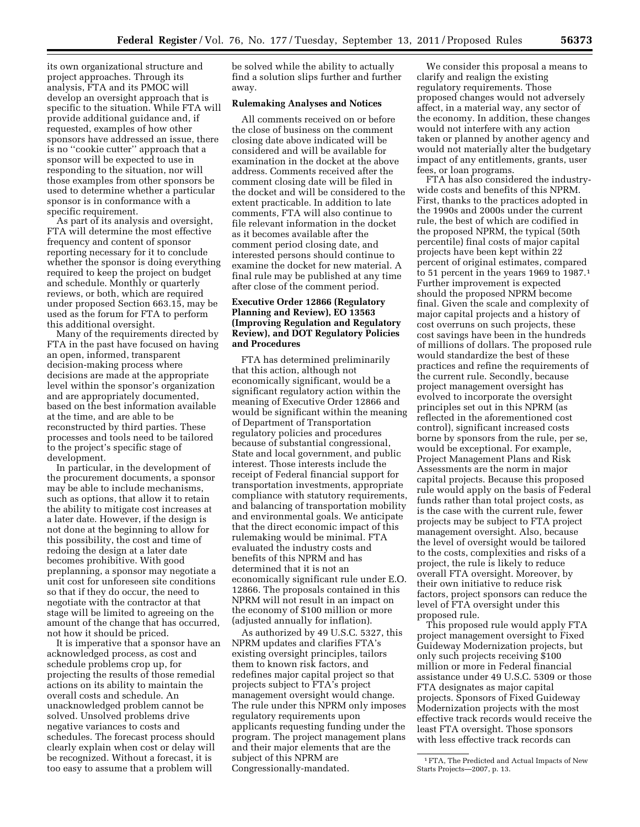its own organizational structure and project approaches. Through its analysis, FTA and its PMOC will develop an oversight approach that is specific to the situation. While FTA will provide additional guidance and, if requested, examples of how other sponsors have addressed an issue, there is no ''cookie cutter'' approach that a sponsor will be expected to use in responding to the situation, nor will those examples from other sponsors be used to determine whether a particular sponsor is in conformance with a specific requirement.

As part of its analysis and oversight, FTA will determine the most effective frequency and content of sponsor reporting necessary for it to conclude whether the sponsor is doing everything required to keep the project on budget and schedule. Monthly or quarterly reviews, or both, which are required under proposed Section 663.15, may be used as the forum for FTA to perform this additional oversight.

Many of the requirements directed by FTA in the past have focused on having an open, informed, transparent decision-making process where decisions are made at the appropriate level within the sponsor's organization and are appropriately documented, based on the best information available at the time, and are able to be reconstructed by third parties. These processes and tools need to be tailored to the project's specific stage of development.

In particular, in the development of the procurement documents, a sponsor may be able to include mechanisms, such as options, that allow it to retain the ability to mitigate cost increases at a later date. However, if the design is not done at the beginning to allow for this possibility, the cost and time of redoing the design at a later date becomes prohibitive. With good preplanning, a sponsor may negotiate a unit cost for unforeseen site conditions so that if they do occur, the need to negotiate with the contractor at that stage will be limited to agreeing on the amount of the change that has occurred, not how it should be priced.

It is imperative that a sponsor have an acknowledged process, as cost and schedule problems crop up, for projecting the results of those remedial actions on its ability to maintain the overall costs and schedule. An unacknowledged problem cannot be solved. Unsolved problems drive negative variances to costs and schedules. The forecast process should clearly explain when cost or delay will be recognized. Without a forecast, it is too easy to assume that a problem will

be solved while the ability to actually find a solution slips further and further away.

#### **Rulemaking Analyses and Notices**

All comments received on or before the close of business on the comment closing date above indicated will be considered and will be available for examination in the docket at the above address. Comments received after the comment closing date will be filed in the docket and will be considered to the extent practicable. In addition to late comments, FTA will also continue to file relevant information in the docket as it becomes available after the comment period closing date, and interested persons should continue to examine the docket for new material. A final rule may be published at any time after close of the comment period.

# **Executive Order 12866 (Regulatory Planning and Review), EO 13563 (Improving Regulation and Regulatory Review), and DOT Regulatory Policies and Procedures**

FTA has determined preliminarily that this action, although not economically significant, would be a significant regulatory action within the meaning of Executive Order 12866 and would be significant within the meaning of Department of Transportation regulatory policies and procedures because of substantial congressional, State and local government, and public interest. Those interests include the receipt of Federal financial support for transportation investments, appropriate compliance with statutory requirements, and balancing of transportation mobility and environmental goals. We anticipate that the direct economic impact of this rulemaking would be minimal. FTA evaluated the industry costs and benefits of this NPRM and has determined that it is not an economically significant rule under E.O. 12866. The proposals contained in this NPRM will not result in an impact on the economy of \$100 million or more (adjusted annually for inflation).

As authorized by 49 U.S.C. 5327, this NPRM updates and clarifies FTA's existing oversight principles, tailors them to known risk factors, and redefines major capital project so that projects subject to FTA's project management oversight would change. The rule under this NPRM only imposes regulatory requirements upon applicants requesting funding under the program. The project management plans and their major elements that are the subject of this NPRM are Congressionally-mandated.

We consider this proposal a means to clarify and realign the existing regulatory requirements. Those proposed changes would not adversely affect, in a material way, any sector of the economy. In addition, these changes would not interfere with any action taken or planned by another agency and would not materially alter the budgetary impact of any entitlements, grants, user fees, or loan programs.

FTA has also considered the industrywide costs and benefits of this NPRM. First, thanks to the practices adopted in the 1990s and 2000s under the current rule, the best of which are codified in the proposed NPRM, the typical (50th percentile) final costs of major capital projects have been kept within 22 percent of original estimates, compared to 51 percent in the years 1969 to 1987.1 Further improvement is expected should the proposed NPRM become final. Given the scale and complexity of major capital projects and a history of cost overruns on such projects, these cost savings have been in the hundreds of millions of dollars. The proposed rule would standardize the best of these practices and refine the requirements of the current rule. Secondly, because project management oversight has evolved to incorporate the oversight principles set out in this NPRM (as reflected in the aforementioned cost control), significant increased costs borne by sponsors from the rule, per se, would be exceptional. For example, Project Management Plans and Risk Assessments are the norm in major capital projects. Because this proposed rule would apply on the basis of Federal funds rather than total project costs, as is the case with the current rule, fewer projects may be subject to FTA project management oversight. Also, because the level of oversight would be tailored to the costs, complexities and risks of a project, the rule is likely to reduce overall FTA oversight. Moreover, by their own initiative to reduce risk factors, project sponsors can reduce the level of FTA oversight under this proposed rule.

This proposed rule would apply FTA project management oversight to Fixed Guideway Modernization projects, but only such projects receiving \$100 million or more in Federal financial assistance under 49 U.S.C. 5309 or those FTA designates as major capital projects. Sponsors of Fixed Guideway Modernization projects with the most effective track records would receive the least FTA oversight. Those sponsors with less effective track records can

<sup>1</sup>FTA, The Predicted and Actual Impacts of New Starts Projects—2007, p. 13.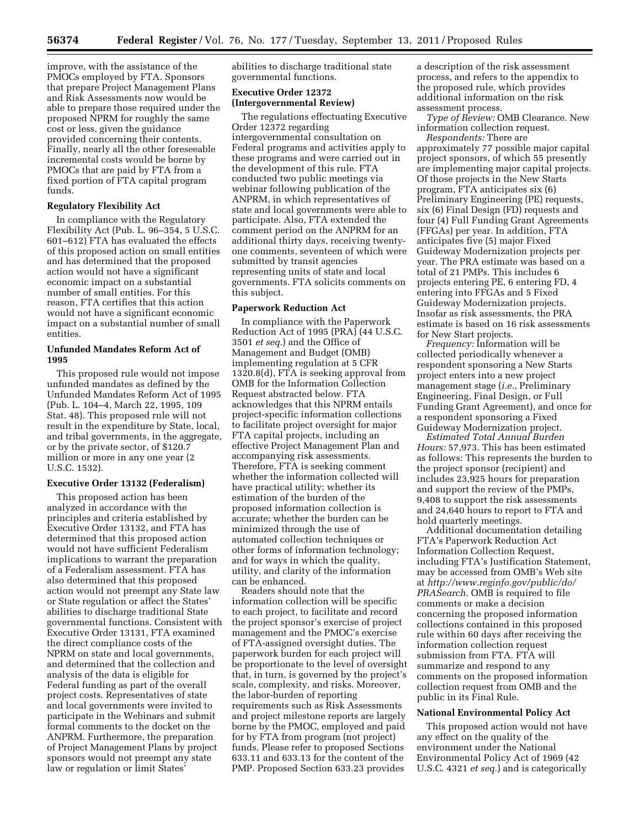improve, with the assistance of the PMOCs employed by FTA. Sponsors that prepare Project Management Plans and Risk Assessments now would be able to prepare those required under the proposed NPRM for roughly the same cost or less, given the guidance provided concerning their contents. Finally, nearly all the other foreseeable incremental costs would be borne by PMOCs that are paid by FTA from a fixed portion of FTA capital program funds.

# **Regulatory Flexibility Act**

In compliance with the Regulatory Flexibility Act (Pub. L. 96–354, 5 U.S.C. 601–612) FTA has evaluated the effects of this proposed action on small entities and has determined that the proposed action would not have a significant economic impact on a substantial number of small entities. For this reason, FTA certifies that this action would not have a significant economic impact on a substantial number of small entities.

# **Unfunded Mandates Reform Act of 1995**

This proposed rule would not impose unfunded mandates as defined by the Unfunded Mandates Reform Act of 1995 (Pub. L. 104–4, March 22, 1995, 109 Stat. 48). This proposed rule will not result in the expenditure by State, local, and tribal governments, in the aggregate, or by the private sector, of \$120.7 million or more in any one year (2 U.S.C. 1532).

## **Executive Order 13132 (Federalism)**

This proposed action has been analyzed in accordance with the principles and criteria established by Executive Order 13132, and FTA has determined that this proposed action would not have sufficient Federalism implications to warrant the preparation of a Federalism assessment. FTA has also determined that this proposed action would not preempt any State law or State regulation or affect the States' abilities to discharge traditional State governmental functions. Consistent with Executive Order 13131, FTA examined the direct compliance costs of the NPRM on state and local governments, and determined that the collection and analysis of the data is eligible for Federal funding as part of the overall project costs. Representatives of state and local governments were invited to participate in the Webinars and submit formal comments to the docket on the ANPRM. Furthermore, the preparation of Project Management Plans by project sponsors would not preempt any state law or regulation or limit States'

abilities to discharge traditional state governmental functions.

# **Executive Order 12372 (Intergovernmental Review)**

The regulations effectuating Executive Order 12372 regarding intergovernmental consultation on Federal programs and activities apply to these programs and were carried out in the development of this rule. FTA conducted two public meetings via webinar following publication of the ANPRM, in which representatives of state and local governments were able to participate. Also, FTA extended the comment period on the ANPRM for an additional thirty days, receiving twentyone comments, seventeen of which were submitted by transit agencies representing units of state and local governments. FTA solicits comments on this subject.

### **Paperwork Reduction Act**

In compliance with the Paperwork Reduction Act of 1995 (PRA) (44 U.S.C. 3501 *et seq.*) and the Office of Management and Budget (OMB) implementing regulation at 5 CFR 1320.8(d), FTA is seeking approval from OMB for the Information Collection Request abstracted below. FTA acknowledges that this NPRM entails project-specific information collections to facilitate project oversight for major FTA capital projects, including an effective Project Management Plan and accompanying risk assessments. Therefore, FTA is seeking comment whether the information collected will have practical utility; whether its estimation of the burden of the proposed information collection is accurate; whether the burden can be minimized through the use of automated collection techniques or other forms of information technology; and for ways in which the quality, utility, and clarity of the information can be enhanced.

Readers should note that the information collection will be specific to each project, to facilitate and record the project sponsor's exercise of project management and the PMOC's exercise of FTA-assigned oversight duties. The paperwork burden for each project will be proportionate to the level of oversight that, in turn, is governed by the project's scale, complexity, and risks. Moreover, the labor-burden of reporting requirements such as Risk Assessments and project milestone reports are largely borne by the PMOC, employed and paid for by FTA from program (not project) funds. Please refer to proposed Sections 633.11 and 633.13 for the content of the PMP. Proposed Section 633.23 provides

a description of the risk assessment process, and refers to the appendix to the proposed rule, which provides additional information on the risk assessment process.

*Type of Review:* OMB Clearance. New information collection request.

*Respondents:* There are approximately 77 possible major capital project sponsors, of which 55 presently are implementing major capital projects. Of those projects in the New Starts program, FTA anticipates six (6) Preliminary Engineering (PE) requests, six (6) Final Design (FD) requests and four (4) Full Funding Grant Agreements (FFGAs) per year. In addition, FTA anticipates five (5) major Fixed Guideway Modernization projects per year. The PRA estimate was based on a total of 21 PMPs. This includes 6 projects entering PE, 6 entering FD, 4 entering into FFGAs and 5 Fixed Guideway Modernization projects. Insofar as risk assessments, the PRA estimate is based on 16 risk assessments for New Start projects.

*Frequency:* Information will be collected periodically whenever a respondent sponsoring a New Starts project enters into a new project management stage (*i.e.,* Preliminary Engineering, Final Design, or Full Funding Grant Agreement), and once for a respondent sponsoring a Fixed Guideway Modernization project.

*Estimated Total Annual Burden Hours:* 57,973. This has been estimated as follows: This represents the burden to the project sponsor (recipient) and includes 23,925 hours for preparation and support the review of the PMPs, 9,408 to support the risk assessments and 24,640 hours to report to FTA and hold quarterly meetings.

Additional documentation detailing FTA's Paperwork Reduction Act Information Collection Request, including FTA's Justification Statement, may be accessed from OMB's Web site at *[http://www.reginfo.gov/public/do/](http://www.reginfo.gov/public/do/PRASearch) [PRASearch](http://www.reginfo.gov/public/do/PRASearch)*. OMB is required to file comments or make a decision concerning the proposed information collections contained in this proposed rule within 60 days after receiving the information collection request submission from FTA. FTA will summarize and respond to any comments on the proposed information collection request from OMB and the public in its Final Rule.

#### **National Environmental Policy Act**

This proposed action would not have any effect on the quality of the environment under the National Environmental Policy Act of 1969 (42 U.S.C. 4321 *et seq.*) and is categorically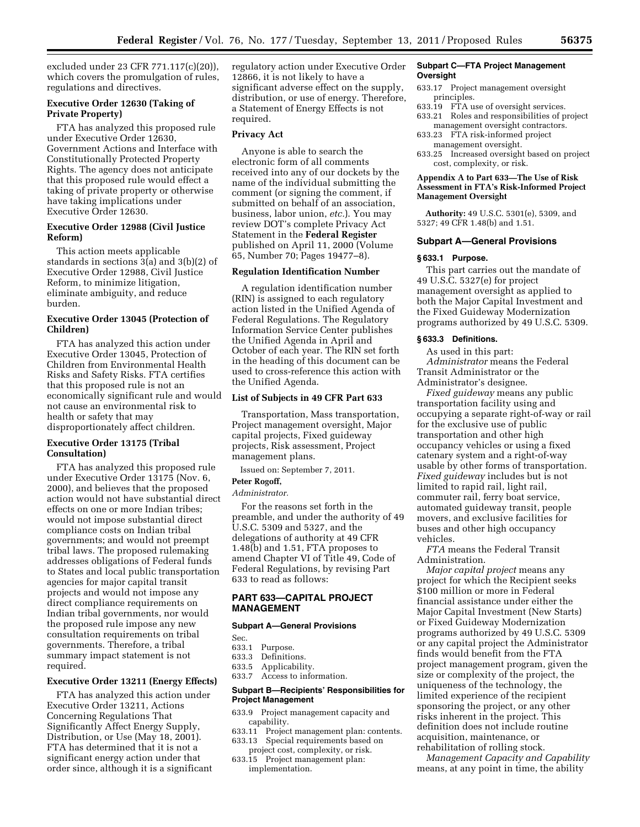excluded under 23 CFR 771.117(c)(20)), which covers the promulgation of rules, regulations and directives.

## **Executive Order 12630 (Taking of Private Property)**

FTA has analyzed this proposed rule under Executive Order 12630, Government Actions and Interface with Constitutionally Protected Property Rights. The agency does not anticipate that this proposed rule would effect a taking of private property or otherwise have taking implications under Executive Order 12630.

## **Executive Order 12988 (Civil Justice Reform)**

This action meets applicable standards in sections 3(a) and 3(b)(2) of Executive Order 12988, Civil Justice Reform, to minimize litigation, eliminate ambiguity, and reduce burden.

# **Executive Order 13045 (Protection of Children)**

FTA has analyzed this action under Executive Order 13045, Protection of Children from Environmental Health Risks and Safety Risks. FTA certifies that this proposed rule is not an economically significant rule and would not cause an environmental risk to health or safety that may disproportionately affect children.

# **Executive Order 13175 (Tribal Consultation)**

FTA has analyzed this proposed rule under Executive Order 13175 (Nov. 6, 2000), and believes that the proposed action would not have substantial direct effects on one or more Indian tribes; would not impose substantial direct compliance costs on Indian tribal governments; and would not preempt tribal laws. The proposed rulemaking addresses obligations of Federal funds to States and local public transportation agencies for major capital transit projects and would not impose any direct compliance requirements on Indian tribal governments, nor would the proposed rule impose any new consultation requirements on tribal governments. Therefore, a tribal summary impact statement is not required.

## **Executive Order 13211 (Energy Effects)**

FTA has analyzed this action under Executive Order 13211, Actions Concerning Regulations That Significantly Affect Energy Supply, Distribution, or Use (May 18, 2001). FTA has determined that it is not a significant energy action under that order since, although it is a significant regulatory action under Executive Order 12866, it is not likely to have a significant adverse effect on the supply, distribution, or use of energy. Therefore, a Statement of Energy Effects is not required.

# **Privacy Act**

Anyone is able to search the electronic form of all comments received into any of our dockets by the name of the individual submitting the comment (or signing the comment, if submitted on behalf of an association, business, labor union, *etc.*). You may review DOT's complete Privacy Act Statement in the **Federal Register**  published on April 11, 2000 (Volume 65, Number 70; Pages 19477–8).

#### **Regulation Identification Number**

A regulation identification number (RIN) is assigned to each regulatory action listed in the Unified Agenda of Federal Regulations. The Regulatory Information Service Center publishes the Unified Agenda in April and October of each year. The RIN set forth in the heading of this document can be used to cross-reference this action with the Unified Agenda.

#### **List of Subjects in 49 CFR Part 633**

Transportation, Mass transportation, Project management oversight, Major capital projects, Fixed guideway projects, Risk assessment, Project management plans.

Issued on: September 7, 2011. **Peter Rogoff,** 

#### *Administrator.*

For the reasons set forth in the preamble, and under the authority of 49 U.S.C. 5309 and 5327, and the delegations of authority at 49 CFR 1.48(b) and 1.51, FTA proposes to amend Chapter VI of Title 49, Code of Federal Regulations, by revising Part 633 to read as follows:

# **PART 633—CAPITAL PROJECT MANAGEMENT**

#### **Subpart A—General Provisions**

- Sec.<br>633.1 Purpose.
- 633.3 Definitions.
- 633.5 Applicability.
- 633.7 Access to information.

#### **Subpart B—Recipients' Responsibilities for Project Management**

- 633.9 Project management capacity and capability.
- 633.11 Project management plan: contents.
- 633.13 Special requirements based on project cost, complexity, or risk.
- 633.15 Project management plan: implementation.

#### **Subpart C—FTA Project Management Oversight**

- 633.17 Project management oversight principles.
- 633.19 FTA use of oversight services.
- 633.21 Roles and responsibilities of project management oversight contractors.
- 633.23 FTA risk-informed project management oversight.
- 633.25 Increased oversight based on project cost, complexity, or risk.

### **Appendix A to Part 633—The Use of Risk Assessment in FTA's Risk-Informed Project Management Oversight**

**Authority:** 49 U.S.C. 5301(e), 5309, and 5327; 49 CFR 1.48(b) and 1.51.

#### **Subpart A—General Provisions**

### **§ 633.1 Purpose.**

This part carries out the mandate of 49 U.S.C. 5327(e) for project management oversight as applied to both the Major Capital Investment and the Fixed Guideway Modernization programs authorized by 49 U.S.C. 5309.

### **§ 633.3 Definitions.**

As used in this part: *Administrator* means the Federal Transit Administrator or the Administrator's designee.

*Fixed guideway* means any public transportation facility using and occupying a separate right-of-way or rail for the exclusive use of public transportation and other high occupancy vehicles or using a fixed catenary system and a right-of-way usable by other forms of transportation. *Fixed guideway* includes but is not limited to rapid rail, light rail, commuter rail, ferry boat service, automated guideway transit, people movers, and exclusive facilities for buses and other high occupancy vehicles.

*FTA* means the Federal Transit Administration.

*Major capital project* means any project for which the Recipient seeks \$100 million or more in Federal financial assistance under either the Major Capital Investment (New Starts) or Fixed Guideway Modernization programs authorized by 49 U.S.C. 5309 or any capital project the Administrator finds would benefit from the FTA project management program, given the size or complexity of the project, the uniqueness of the technology, the limited experience of the recipient sponsoring the project, or any other risks inherent in the project. This definition does not include routine acquisition, maintenance, or rehabilitation of rolling stock.

*Management Capacity and Capability*  means, at any point in time, the ability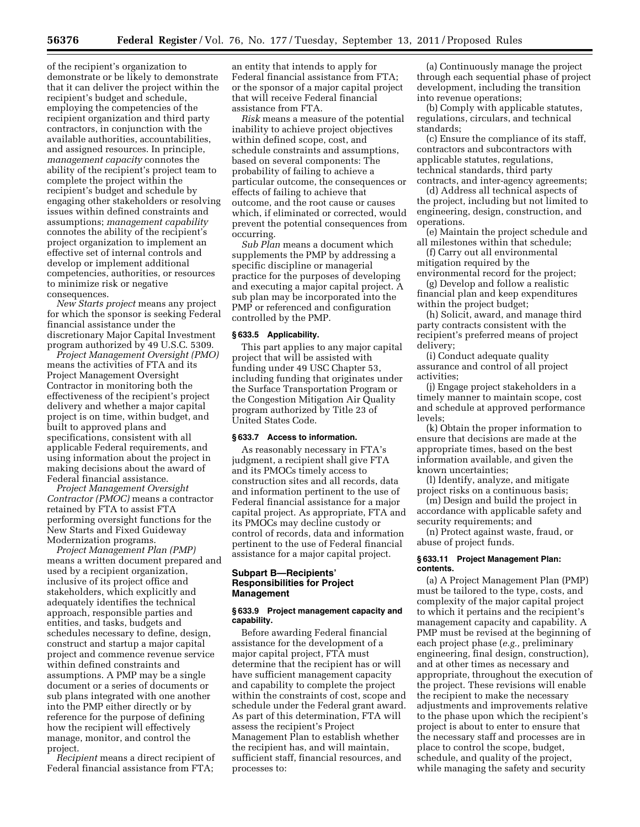of the recipient's organization to demonstrate or be likely to demonstrate that it can deliver the project within the recipient's budget and schedule, employing the competencies of the recipient organization and third party contractors, in conjunction with the available authorities, accountabilities, and assigned resources. In principle, *management capacity* connotes the ability of the recipient's project team to complete the project within the recipient's budget and schedule by engaging other stakeholders or resolving issues within defined constraints and assumptions; *management capability*  connotes the ability of the recipient's project organization to implement an effective set of internal controls and develop or implement additional competencies, authorities, or resources to minimize risk or negative consequences.

*New Starts project* means any project for which the sponsor is seeking Federal financial assistance under the discretionary Major Capital Investment program authorized by 49 U.S.C. 5309.

*Project Management Oversight (PMO)*  means the activities of FTA and its Project Management Oversight Contractor in monitoring both the effectiveness of the recipient's project delivery and whether a major capital project is on time, within budget, and built to approved plans and specifications, consistent with all applicable Federal requirements, and using information about the project in making decisions about the award of Federal financial assistance.

*Project Management Oversight Contractor (PMOC)* means a contractor retained by FTA to assist FTA performing oversight functions for the New Starts and Fixed Guideway Modernization programs.

*Project Management Plan (PMP)*  means a written document prepared and used by a recipient organization, inclusive of its project office and stakeholders, which explicitly and adequately identifies the technical approach, responsible parties and entities, and tasks, budgets and schedules necessary to define, design, construct and startup a major capital project and commence revenue service within defined constraints and assumptions. A PMP may be a single document or a series of documents or sub plans integrated with one another into the PMP either directly or by reference for the purpose of defining how the recipient will effectively manage, monitor, and control the project.

*Recipient* means a direct recipient of Federal financial assistance from FTA;

an entity that intends to apply for Federal financial assistance from FTA; or the sponsor of a major capital project that will receive Federal financial assistance from FTA.

*Risk* means a measure of the potential inability to achieve project objectives within defined scope, cost, and schedule constraints and assumptions, based on several components: The probability of failing to achieve a particular outcome, the consequences or effects of failing to achieve that outcome, and the root cause or causes which, if eliminated or corrected, would prevent the potential consequences from occurring.

*Sub Plan* means a document which supplements the PMP by addressing a specific discipline or managerial practice for the purposes of developing and executing a major capital project. A sub plan may be incorporated into the PMP or referenced and configuration controlled by the PMP.

#### **§ 633.5 Applicability.**

This part applies to any major capital project that will be assisted with funding under 49 USC Chapter 53, including funding that originates under the Surface Transportation Program or the Congestion Mitigation Air Quality program authorized by Title 23 of United States Code.

#### **§ 633.7 Access to information.**

As reasonably necessary in FTA's judgment, a recipient shall give FTA and its PMOCs timely access to construction sites and all records, data and information pertinent to the use of Federal financial assistance for a major capital project. As appropriate, FTA and its PMOCs may decline custody or control of records, data and information pertinent to the use of Federal financial assistance for a major capital project.

# **Subpart B—Recipients' Responsibilities for Project Management**

### **§ 633.9 Project management capacity and capability.**

Before awarding Federal financial assistance for the development of a major capital project, FTA must determine that the recipient has or will have sufficient management capacity and capability to complete the project within the constraints of cost, scope and schedule under the Federal grant award. As part of this determination, FTA will assess the recipient's Project Management Plan to establish whether the recipient has, and will maintain, sufficient staff, financial resources, and processes to:

(a) Continuously manage the project through each sequential phase of project development, including the transition into revenue operations;

(b) Comply with applicable statutes, regulations, circulars, and technical standards;

(c) Ensure the compliance of its staff, contractors and subcontractors with applicable statutes, regulations, technical standards, third party contracts, and inter-agency agreements;

(d) Address all technical aspects of the project, including but not limited to engineering, design, construction, and operations.

(e) Maintain the project schedule and all milestones within that schedule;

(f) Carry out all environmental mitigation required by the environmental record for the project;

(g) Develop and follow a realistic financial plan and keep expenditures within the project budget;

(h) Solicit, award, and manage third party contracts consistent with the recipient's preferred means of project delivery;

(i) Conduct adequate quality assurance and control of all project activities;

(j) Engage project stakeholders in a timely manner to maintain scope, cost and schedule at approved performance levels;

(k) Obtain the proper information to ensure that decisions are made at the appropriate times, based on the best information available, and given the known uncertainties;

(l) Identify, analyze, and mitigate project risks on a continuous basis;

(m) Design and build the project in accordance with applicable safety and security requirements; and

(n) Protect against waste, fraud, or abuse of project funds.

### **§ 633.11 Project Management Plan: contents.**

(a) A Project Management Plan (PMP) must be tailored to the type, costs, and complexity of the major capital project to which it pertains and the recipient's management capacity and capability. A PMP must be revised at the beginning of each project phase (*e.g.,* preliminary engineering, final design, construction), and at other times as necessary and appropriate, throughout the execution of the project. These revisions will enable the recipient to make the necessary adjustments and improvements relative to the phase upon which the recipient's project is about to enter to ensure that the necessary staff and processes are in place to control the scope, budget, schedule, and quality of the project, while managing the safety and security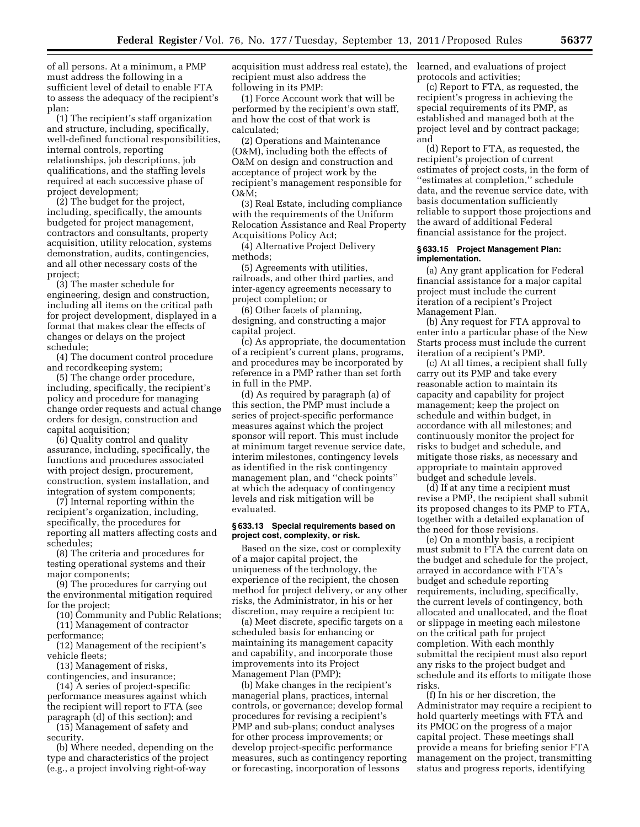of all persons. At a minimum, a PMP must address the following in a sufficient level of detail to enable FTA to assess the adequacy of the recipient's plan:

(1) The recipient's staff organization and structure, including, specifically, well-defined functional responsibilities, internal controls, reporting relationships, job descriptions, job qualifications, and the staffing levels required at each successive phase of project development;

(2) The budget for the project, including, specifically, the amounts budgeted for project management, contractors and consultants, property acquisition, utility relocation, systems demonstration, audits, contingencies, and all other necessary costs of the project;

(3) The master schedule for engineering, design and construction, including all items on the critical path for project development, displayed in a format that makes clear the effects of changes or delays on the project schedule;

(4) The document control procedure and recordkeeping system;

(5) The change order procedure, including, specifically, the recipient's policy and procedure for managing change order requests and actual change orders for design, construction and capital acquisition;

(6) Quality control and quality assurance, including, specifically, the functions and procedures associated with project design, procurement, construction, system installation, and integration of system components;

(7) Internal reporting within the recipient's organization, including, specifically, the procedures for reporting all matters affecting costs and schedules;

(8) The criteria and procedures for testing operational systems and their major components;

(9) The procedures for carrying out the environmental mitigation required for the project;

(10) Community and Public Relations; (11) Management of contractor

performance;

(12) Management of the recipient's vehicle fleets;

(13) Management of risks,

contingencies, and insurance; (14) A series of project-specific

performance measures against which the recipient will report to FTA (see paragraph (d) of this section); and

(15) Management of safety and security.

(b) Where needed, depending on the type and characteristics of the project (e.g., a project involving right-of-way

acquisition must address real estate), the recipient must also address the following in its PMP:

(1) Force Account work that will be performed by the recipient's own staff, and how the cost of that work is calculated;

(2) Operations and Maintenance (O&M), including both the effects of O&M on design and construction and acceptance of project work by the recipient's management responsible for O&M;

(3) Real Estate, including compliance with the requirements of the Uniform Relocation Assistance and Real Property Acquisitions Policy Act;

(4) Alternative Project Delivery methods;

(5) Agreements with utilities, railroads, and other third parties, and inter-agency agreements necessary to project completion; or

(6) Other facets of planning, designing, and constructing a major capital project.

(c) As appropriate, the documentation of a recipient's current plans, programs, and procedures may be incorporated by reference in a PMP rather than set forth in full in the PMP.

(d) As required by paragraph (a) of this section, the PMP must include a series of project-specific performance measures against which the project sponsor will report. This must include at minimum target revenue service date, interim milestones, contingency levels as identified in the risk contingency management plan, and ''check points'' at which the adequacy of contingency levels and risk mitigation will be evaluated.

### **§ 633.13 Special requirements based on project cost, complexity, or risk.**

Based on the size, cost or complexity of a major capital project, the uniqueness of the technology, the experience of the recipient, the chosen method for project delivery, or any other risks, the Administrator, in his or her discretion, may require a recipient to:

(a) Meet discrete, specific targets on a scheduled basis for enhancing or maintaining its management capacity and capability, and incorporate those improvements into its Project Management Plan (PMP);

(b) Make changes in the recipient's managerial plans, practices, internal controls, or governance; develop formal procedures for revising a recipient's PMP and sub-plans; conduct analyses for other process improvements; or develop project-specific performance measures, such as contingency reporting or forecasting, incorporation of lessons

learned, and evaluations of project protocols and activities;

(c) Report to FTA, as requested, the recipient's progress in achieving the special requirements of its PMP, as established and managed both at the project level and by contract package; and

(d) Report to FTA, as requested, the recipient's projection of current estimates of project costs, in the form of ''estimates at completion,'' schedule data, and the revenue service date, with basis documentation sufficiently reliable to support those projections and the award of additional Federal financial assistance for the project.

#### **§ 633.15 Project Management Plan: implementation.**

(a) Any grant application for Federal financial assistance for a major capital project must include the current iteration of a recipient's Project Management Plan.

(b) Any request for FTA approval to enter into a particular phase of the New Starts process must include the current iteration of a recipient's PMP.

(c) At all times, a recipient shall fully carry out its PMP and take every reasonable action to maintain its capacity and capability for project management; keep the project on schedule and within budget, in accordance with all milestones; and continuously monitor the project for risks to budget and schedule, and mitigate those risks, as necessary and appropriate to maintain approved budget and schedule levels.

(d) If at any time a recipient must revise a PMP, the recipient shall submit its proposed changes to its PMP to FTA, together with a detailed explanation of the need for those revisions.

(e) On a monthly basis, a recipient must submit to FTA the current data on the budget and schedule for the project, arrayed in accordance with FTA's budget and schedule reporting requirements, including, specifically, the current levels of contingency, both allocated and unallocated, and the float or slippage in meeting each milestone on the critical path for project completion. With each monthly submittal the recipient must also report any risks to the project budget and schedule and its efforts to mitigate those risks.

(f) In his or her discretion, the Administrator may require a recipient to hold quarterly meetings with FTA and its PMOC on the progress of a major capital project. These meetings shall provide a means for briefing senior FTA management on the project, transmitting status and progress reports, identifying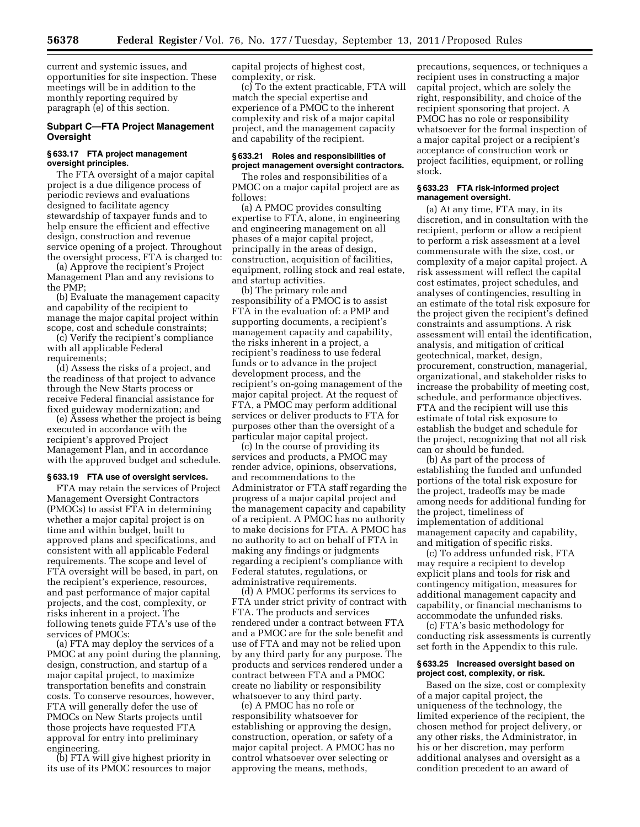current and systemic issues, and opportunities for site inspection. These meetings will be in addition to the monthly reporting required by paragraph (e) of this section.

## **Subpart C—FTA Project Management Oversight**

### **§ 633.17 FTA project management oversight principles.**

The FTA oversight of a major capital project is a due diligence process of periodic reviews and evaluations designed to facilitate agency stewardship of taxpayer funds and to help ensure the efficient and effective design, construction and revenue service opening of a project. Throughout the oversight process, FTA is charged to:

(a) Approve the recipient's Project Management Plan and any revisions to the PMP;

(b) Evaluate the management capacity and capability of the recipient to manage the major capital project within scope, cost and schedule constraints;

(c) Verify the recipient's compliance with all applicable Federal requirements;

(d) Assess the risks of a project, and the readiness of that project to advance through the New Starts process or receive Federal financial assistance for fixed guideway modernization; and

(e) Assess whether the project is being executed in accordance with the recipient's approved Project Management Plan, and in accordance with the approved budget and schedule.

### **§ 633.19 FTA use of oversight services.**

FTA may retain the services of Project Management Oversight Contractors (PMOCs) to assist FTA in determining whether a major capital project is on time and within budget, built to approved plans and specifications, and consistent with all applicable Federal requirements. The scope and level of FTA oversight will be based, in part, on the recipient's experience, resources, and past performance of major capital projects, and the cost, complexity, or risks inherent in a project. The following tenets guide FTA's use of the services of PMOCs:

(a) FTA may deploy the services of a PMOC at any point during the planning, design, construction, and startup of a major capital project, to maximize transportation benefits and constrain costs. To conserve resources, however, FTA will generally defer the use of PMOCs on New Starts projects until those projects have requested FTA approval for entry into preliminary engineering.

(b) FTA will give highest priority in its use of its PMOC resources to major capital projects of highest cost, complexity, or risk.

(c) To the extent practicable, FTA will match the special expertise and experience of a PMOC to the inherent complexity and risk of a major capital project, and the management capacity and capability of the recipient.

#### **§ 633.21 Roles and responsibilities of project management oversight contractors.**

The roles and responsibilities of a PMOC on a major capital project are as follows:

(a) A PMOC provides consulting expertise to FTA, alone, in engineering and engineering management on all phases of a major capital project, principally in the areas of design, construction, acquisition of facilities, equipment, rolling stock and real estate, and startup activities.

(b) The primary role and responsibility of a PMOC is to assist FTA in the evaluation of: a PMP and supporting documents, a recipient's management capacity and capability, the risks inherent in a project, a recipient's readiness to use federal funds or to advance in the project development process, and the recipient's on-going management of the major capital project. At the request of FTA, a PMOC may perform additional services or deliver products to FTA for purposes other than the oversight of a particular major capital project.

(c) In the course of providing its services and products, a PMOC may render advice, opinions, observations, and recommendations to the Administrator or FTA staff regarding the progress of a major capital project and the management capacity and capability of a recipient. A PMOC has no authority to make decisions for FTA. A PMOC has no authority to act on behalf of FTA in making any findings or judgments regarding a recipient's compliance with Federal statutes, regulations, or administrative requirements.

(d) A PMOC performs its services to FTA under strict privity of contract with FTA. The products and services rendered under a contract between FTA and a PMOC are for the sole benefit and use of FTA and may not be relied upon by any third party for any purpose. The products and services rendered under a contract between FTA and a PMOC create no liability or responsibility whatsoever to any third party.

(e) A PMOC has no role or responsibility whatsoever for establishing or approving the design, construction, operation, or safety of a major capital project. A PMOC has no control whatsoever over selecting or approving the means, methods,

precautions, sequences, or techniques a recipient uses in constructing a major capital project, which are solely the right, responsibility, and choice of the recipient sponsoring that project. A PMOC has no role or responsibility whatsoever for the formal inspection of a major capital project or a recipient's acceptance of construction work or project facilities, equipment, or rolling stock.

### **§ 633.23 FTA risk-informed project management oversight.**

(a) At any time, FTA may, in its discretion, and in consultation with the recipient, perform or allow a recipient to perform a risk assessment at a level commensurate with the size, cost, or complexity of a major capital project. A risk assessment will reflect the capital cost estimates, project schedules, and analyses of contingencies, resulting in an estimate of the total risk exposure for the project given the recipient's defined constraints and assumptions. A risk assessment will entail the identification, analysis, and mitigation of critical geotechnical, market, design, procurement, construction, managerial, organizational, and stakeholder risks to increase the probability of meeting cost, schedule, and performance objectives. FTA and the recipient will use this estimate of total risk exposure to establish the budget and schedule for the project, recognizing that not all risk can or should be funded.

(b) As part of the process of establishing the funded and unfunded portions of the total risk exposure for the project, tradeoffs may be made among needs for additional funding for the project, timeliness of implementation of additional management capacity and capability, and mitigation of specific risks.

(c) To address unfunded risk, FTA may require a recipient to develop explicit plans and tools for risk and contingency mitigation, measures for additional management capacity and capability, or financial mechanisms to accommodate the unfunded risks.

(c) FTA's basic methodology for conducting risk assessments is currently set forth in the Appendix to this rule.

#### **§ 633.25 Increased oversight based on project cost, complexity, or risk.**

Based on the size, cost or complexity of a major capital project, the uniqueness of the technology, the limited experience of the recipient, the chosen method for project delivery, or any other risks, the Administrator, in his or her discretion, may perform additional analyses and oversight as a condition precedent to an award of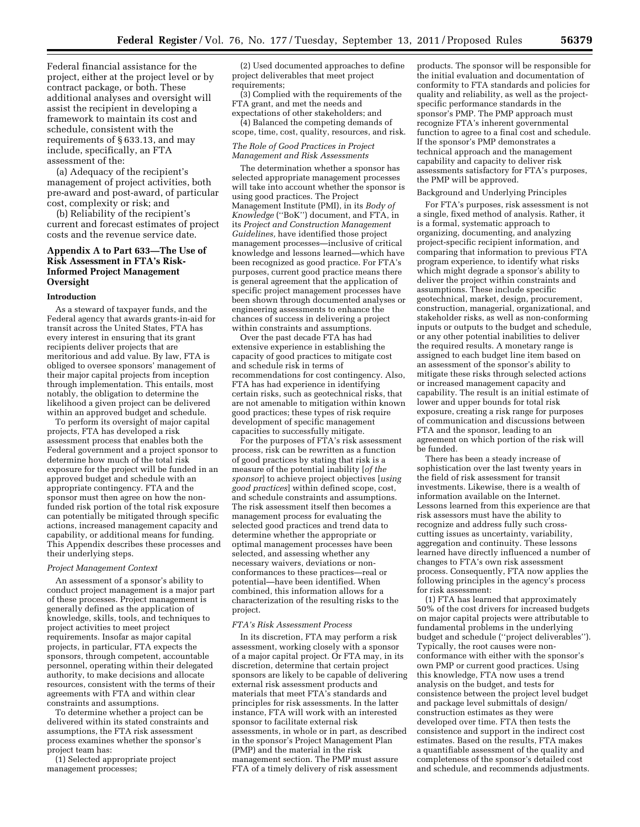Federal financial assistance for the project, either at the project level or by contract package, or both. These additional analyses and oversight will assist the recipient in developing a framework to maintain its cost and schedule, consistent with the requirements of § 633.13, and may include, specifically, an FTA assessment of the:

(a) Adequacy of the recipient's management of project activities, both pre-award and post-award, of particular cost, complexity or risk; and

(b) Reliability of the recipient's current and forecast estimates of project costs and the revenue service date.

# **Appendix A to Part 633—The Use of Risk Assessment in FTA's Risk-Informed Project Management Oversight**

#### **Introduction**

As a steward of taxpayer funds, and the Federal agency that awards grants-in-aid for transit across the United States, FTA has every interest in ensuring that its grant recipients deliver projects that are meritorious and add value. By law, FTA is obliged to oversee sponsors' management of their major capital projects from inception through implementation. This entails, most notably, the obligation to determine the likelihood a given project can be delivered within an approved budget and schedule.

To perform its oversight of major capital projects, FTA has developed a risk assessment process that enables both the Federal government and a project sponsor to determine how much of the total risk exposure for the project will be funded in an approved budget and schedule with an appropriate contingency. FTA and the sponsor must then agree on how the nonfunded risk portion of the total risk exposure can potentially be mitigated through specific actions, increased management capacity and capability, or additional means for funding. This Appendix describes these processes and their underlying steps.

#### *Project Management Context*

An assessment of a sponsor's ability to conduct project management is a major part of these processes. Project management is generally defined as the application of knowledge, skills, tools, and techniques to project activities to meet project requirements. Insofar as major capital projects, in particular, FTA expects the sponsors, through competent, accountable personnel, operating within their delegated authority, to make decisions and allocate resources, consistent with the terms of their agreements with FTA and within clear constraints and assumptions.

To determine whether a project can be delivered within its stated constraints and assumptions, the FTA risk assessment process examines whether the sponsor's project team has:

(1) Selected appropriate project management processes;

(2) Used documented approaches to define project deliverables that meet project requirements;

(3) Complied with the requirements of the FTA grant, and met the needs and expectations of other stakeholders; and

(4) Balanced the competing demands of scope, time, cost, quality, resources, and risk.

### *The Role of Good Practices in Project Management and Risk Assessments*

The determination whether a sponsor has selected appropriate management processes will take into account whether the sponsor is using good practices. The Project Management Institute (PMI), in its *Body of Knowledge* (''BoK'') document, and FTA, in its *Project and Construction Management Guidelines,* have identified those project management processes—inclusive of critical knowledge and lessons learned—which have been recognized as good practice. For FTA's purposes, current good practice means there is general agreement that the application of specific project management processes have been shown through documented analyses or engineering assessments to enhance the chances of success in delivering a project within constraints and assumptions.

Over the past decade FTA has had extensive experience in establishing the capacity of good practices to mitigate cost and schedule risk in terms of recommendations for cost contingency. Also, FTA has had experience in identifying certain risks, such as geotechnical risks, that are not amenable to mitigation within known good practices; these types of risk require development of specific management capacities to successfully mitigate.

For the purposes of FTA's risk assessment process, risk can be rewritten as a function of good practices by stating that risk is a measure of the potential inability [*of the sponsor*] to achieve project objectives [*using good practices*] within defined scope, cost, and schedule constraints and assumptions. The risk assessment itself then becomes a management process for evaluating the selected good practices and trend data to determine whether the appropriate or optimal management processes have been selected, and assessing whether any necessary waivers, deviations or nonconformances to these practices—real or potential—have been identified. When combined, this information allows for a characterization of the resulting risks to the project.

#### *FTA's Risk Assessment Process*

In its discretion, FTA may perform a risk assessment, working closely with a sponsor of a major capital project. Or FTA may, in its discretion, determine that certain project sponsors are likely to be capable of delivering external risk assessment products and materials that meet FTA's standards and principles for risk assessments. In the latter instance, FTA will work with an interested sponsor to facilitate external risk assessments, in whole or in part, as described in the sponsor's Project Management Plan (PMP) and the material in the risk management section. The PMP must assure FTA of a timely delivery of risk assessment

products. The sponsor will be responsible for the initial evaluation and documentation of conformity to FTA standards and policies for quality and reliability, as well as the projectspecific performance standards in the sponsor's PMP. The PMP approach must recognize FTA's inherent governmental function to agree to a final cost and schedule. If the sponsor's PMP demonstrates a technical approach and the management capability and capacity to deliver risk assessments satisfactory for FTA's purposes, the PMP will be approved.

#### Background and Underlying Principles

For FTA's purposes, risk assessment is not a single, fixed method of analysis. Rather, it is a formal, systematic approach to organizing, documenting, and analyzing project-specific recipient information, and comparing that information to previous FTA program experience, to identify what risks which might degrade a sponsor's ability to deliver the project within constraints and assumptions. These include specific geotechnical, market, design, procurement, construction, managerial, organizational, and stakeholder risks, as well as non-conforming inputs or outputs to the budget and schedule, or any other potential inabilities to deliver the required results. A monetary range is assigned to each budget line item based on an assessment of the sponsor's ability to mitigate these risks through selected actions or increased management capacity and capability. The result is an initial estimate of lower and upper bounds for total risk exposure, creating a risk range for purposes of communication and discussions between FTA and the sponsor, leading to an agreement on which portion of the risk will be funded.

There has been a steady increase of sophistication over the last twenty years in the field of risk assessment for transit investments. Likewise, there is a wealth of information available on the Internet. Lessons learned from this experience are that risk assessors must have the ability to recognize and address fully such crosscutting issues as uncertainty, variability, aggregation and continuity. These lessons learned have directly influenced a number of changes to FTA's own risk assessment process. Consequently, FTA now applies the following principles in the agency's process for risk assessment:

(1) FTA has learned that approximately 50% of the cost drivers for increased budgets on major capital projects were attributable to fundamental problems in the underlying budget and schedule (''project deliverables''). Typically, the root causes were nonconformance with either with the sponsor's own PMP or current good practices. Using this knowledge, FTA now uses a trend analysis on the budget, and tests for consistence between the project level budget and package level submittals of design/ construction estimates as they were developed over time. FTA then tests the consistence and support in the indirect cost estimates. Based on the results, FTA makes a quantifiable assessment of the quality and completeness of the sponsor's detailed cost and schedule, and recommends adjustments.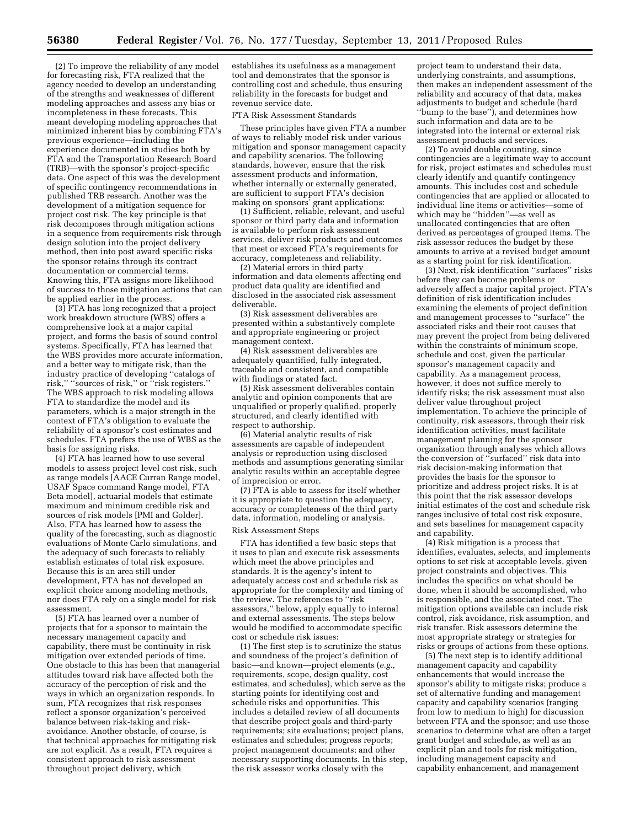(2) To improve the reliability of any model for forecasting risk, FTA realized that the agency needed to develop an understanding of the strengths and weaknesses of different modeling approaches and assess any bias or incompleteness in these forecasts. This meant developing modeling approaches that minimized inherent bias by combining FTA's previous experience—including the experience documented in studies both by FTA and the Transportation Research Board (TRB)—with the sponsor's project-specific data. One aspect of this was the development of specific contingency recommendations in published TRB research. Another was the development of a mitigation sequence for project cost risk. The key principle is that risk decomposes through mitigation actions in a sequence from requirements risk through design solution into the project delivery method, then into post award specific risks the sponsor retains through its contract documentation or commercial terms. Knowing this, FTA assigns more likelihood of success to those mitigation actions that can be applied earlier in the process.

(3) FTA has long recognized that a project work breakdown structure (WBS) offers a comprehensive look at a major capital project, and forms the basis of sound control systems. Specifically, FTA has learned that the WBS provides more accurate information, and a better way to mitigate risk, than the industry practice of developing ''catalogs of risk,'' ''sources of risk,'' or ''risk registers.'' The WBS approach to risk modeling allows FTA to standardize the model and its parameters, which is a major strength in the context of FTA's obligation to evaluate the reliability of a sponsor's cost estimates and schedules. FTA prefers the use of WBS as the basis for assigning risks.

(4) FTA has learned how to use several models to assess project level cost risk, such as range models [AACE Curran Range model, USAF Space command Range model, FTA Beta model], actuarial models that estimate maximum and minimum credible risk and sources of risk models [PMI and Golder]. Also, FTA has learned how to assess the quality of the forecasting, such as diagnostic evaluations of Monte Carlo simulations, and the adequacy of such forecasts to reliably establish estimates of total risk exposure. Because this is an area still under development, FTA has not developed an explicit choice among modeling methods, nor does FTA rely on a single model for risk assessment.

(5) FTA has learned over a number of projects that for a sponsor to maintain the necessary management capacity and capability, there must be continuity in risk mitigation over extended periods of time. One obstacle to this has been that managerial attitudes toward risk have affected both the accuracy of the perception of risk and the ways in which an organization responds. In sum, FTA recognizes that risk responses reflect a sponsor organization's perceived balance between risk-taking and riskavoidance. Another obstacle, of course, is that technical approaches for mitigating risk are not explicit. As a result, FTA requires a consistent approach to risk assessment throughout project delivery, which

establishes its usefulness as a management tool and demonstrates that the sponsor is controlling cost and schedule, thus ensuring reliability in the forecasts for budget and revenue service date.

#### FTA Risk Assessment Standards

These principles have given FTA a number of ways to reliably model risk under various mitigation and sponsor management capacity and capability scenarios. The following standards, however, ensure that the risk assessment products and information, whether internally or externally generated, are sufficient to support FTA's decision making on sponsors' grant applications:

(1) Sufficient, reliable, relevant, and useful sponsor or third party data and information is available to perform risk assessment services, deliver risk products and outcomes that meet or exceed FTA's requirements for accuracy, completeness and reliability.

(2) Material errors in third party information and data elements affecting end product data quality are identified and disclosed in the associated risk assessment deliverable.

(3) Risk assessment deliverables are presented within a substantively complete and appropriate engineering or project management context.

(4) Risk assessment deliverables are adequately quantified, fully integrated, traceable and consistent, and compatible with findings or stated fact.

(5) Risk assessment deliverables contain analytic and opinion components that are unqualified or properly qualified, properly structured, and clearly identified with respect to authorship.

(6) Material analytic results of risk assessments are capable of independent analysis or reproduction using disclosed methods and assumptions generating similar analytic results within an acceptable degree of imprecision or error.

(7) FTA is able to assess for itself whether it is appropriate to question the adequacy, accuracy or completeness of the third party data, information, modeling or analysis.

# Risk Assessment Steps

FTA has identified a few basic steps that it uses to plan and execute risk assessments which meet the above principles and standards. It is the agency's intent to adequately access cost and schedule risk as appropriate for the complexity and timing of the review. The references to ''risk assessors,'' below, apply equally to internal and external assessments. The steps below would be modified to accommodate specific cost or schedule risk issues:

(1) The first step is to scrutinize the status and soundness of the project's definition of basic—and known—project elements (*e.g.,*  requirements, scope, design quality, cost estimates, and schedules), which serve as the starting points for identifying cost and schedule risks and opportunities. This includes a detailed review of all documents that describe project goals and third-party requirements; site evaluations; project plans, estimates and schedules; progress reports; project management documents; and other necessary supporting documents. In this step, the risk assessor works closely with the

project team to understand their data, underlying constraints, and assumptions, then makes an independent assessment of the reliability and accuracy of that data, makes adjustments to budget and schedule (hard ''bump to the base''), and determines how such information and data are to be integrated into the internal or external risk assessment products and services.

(2) To avoid double counting, since contingencies are a legitimate way to account for risk, project estimates and schedules must clearly identify and quantify contingency amounts. This includes cost and schedule contingencies that are applied or allocated to individual line items or activities—some of which may be ''hidden''—as well as unallocated contingencies that are often derived as percentages of grouped items. The risk assessor reduces the budget by these amounts to arrive at a revised budget amount as a starting point for risk identification.

(3) Next, risk identification ''surfaces'' risks before they can become problems or adversely affect a major capital project. FTA's definition of risk identification includes examining the elements of project definition and management processes to ''surface'' the associated risks and their root causes that may prevent the project from being delivered within the constraints of minimum scope, schedule and cost, given the particular sponsor's management capacity and capability. As a management process, however, it does not suffice merely to identify risks; the risk assessment must also deliver value throughout project implementation. To achieve the principle of continuity, risk assessors, through their risk identification activities, must facilitate management planning for the sponsor organization through analyses which allows the conversion of ''surfaced'' risk data into risk decision-making information that provides the basis for the sponsor to prioritize and address project risks. It is at this point that the risk assessor develops initial estimates of the cost and schedule risk ranges inclusive of total cost risk exposure, and sets baselines for management capacity and capability.

(4) Risk mitigation is a process that identifies, evaluates, selects, and implements options to set risk at acceptable levels, given project constraints and objectives. This includes the specifics on what should be done, when it should be accomplished, who is responsible, and the associated cost. The mitigation options available can include risk control, risk avoidance, risk assumption, and risk transfer. Risk assessors determine the most appropriate strategy or strategies for risks or groups of actions from these options.

(5) The next step is to identify additional management capacity and capability enhancements that would increase the sponsor's ability to mitigate risks; produce a set of alternative funding and management capacity and capability scenarios (ranging from low to medium to high) for discussion between FTA and the sponsor; and use those scenarios to determine what are often a target grant budget and schedule, as well as an explicit plan and tools for risk mitigation, including management capacity and capability enhancement, and management